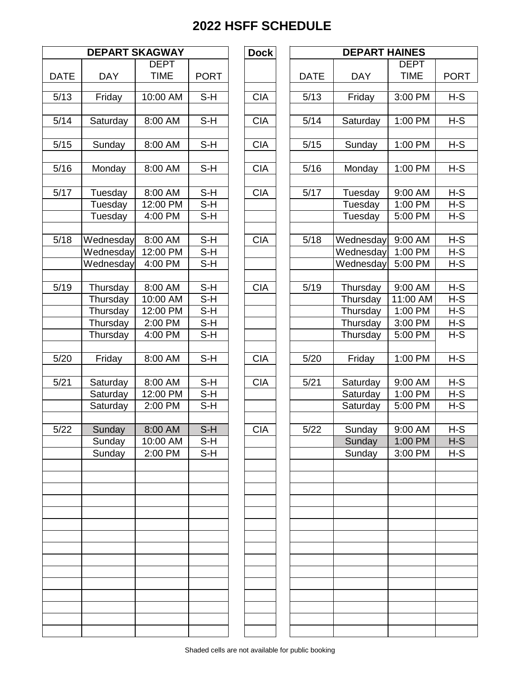| <b>DEPART SKAGWAY</b> |            |             |             |  |  |  |  |  |
|-----------------------|------------|-------------|-------------|--|--|--|--|--|
|                       |            | <b>DEPT</b> |             |  |  |  |  |  |
| <b>DATE</b>           | <b>DAY</b> | <b>TIME</b> | <b>PORT</b> |  |  |  |  |  |
| 5/13                  | Friday     | 10:00 AM    | S-H         |  |  |  |  |  |
| 5/14                  | Saturday   | 8:00 AM     | S-H         |  |  |  |  |  |
| 5/15                  | Sunday     | 8:00 AM     | S-H         |  |  |  |  |  |
|                       |            |             |             |  |  |  |  |  |
| 5/16                  | Monday     | 8:00 AM     | S-H         |  |  |  |  |  |
| 5/17                  | Tuesday    | 8:00 AM     | S-H         |  |  |  |  |  |
|                       | Tuesday    | 12:00 PM    | S-H         |  |  |  |  |  |
|                       | Tuesday    | 4:00 PM     | S-H         |  |  |  |  |  |
| 5/18                  | Wednesday  | 8:00 AM     | S-H         |  |  |  |  |  |
|                       | Wednesday  | 12:00 PM    | S-H         |  |  |  |  |  |
|                       | Wednesday  | 4:00 PM     | S-H         |  |  |  |  |  |
| 5/19                  | Thursday   | 8:00 AM     | $S-H$       |  |  |  |  |  |
|                       | Thursday   | 10:00 AM    | S-H         |  |  |  |  |  |
|                       | Thursday   | 12:00 PM    | S-H         |  |  |  |  |  |
|                       | Thursday   | 2:00 PM     | S-H         |  |  |  |  |  |
|                       | Thursday   | 4:00 PM     | S-H         |  |  |  |  |  |
| 5/20                  | Friday     | 8:00 AM     | S-H         |  |  |  |  |  |
| 5/21                  | Saturday   | 8:00 AM     | S-H         |  |  |  |  |  |
|                       | Saturday   | 12:00 PM    | $S-H$       |  |  |  |  |  |
|                       | Saturday   | 2:00 PM     | S-H         |  |  |  |  |  |
| 5/22                  | Sunday     | 8:00 AM     | S-H         |  |  |  |  |  |
|                       | Sunday     | 10:00 AM    | S-H         |  |  |  |  |  |
|                       | Sunday     | 2:00 PM     | S-H         |  |  |  |  |  |
|                       |            |             |             |  |  |  |  |  |
|                       |            |             |             |  |  |  |  |  |
|                       |            |             |             |  |  |  |  |  |
|                       |            |             |             |  |  |  |  |  |
|                       |            |             |             |  |  |  |  |  |
|                       |            |             |             |  |  |  |  |  |
|                       |            |             |             |  |  |  |  |  |
|                       |            |             |             |  |  |  |  |  |
|                       |            |             |             |  |  |  |  |  |
|                       |            |             |             |  |  |  |  |  |

|               | <b>DEPART SKAGWAY</b>  |                     |                | <b>Dock</b> |             |                        | <b>DEPART HAINES</b><br><b>DEPT</b><br><b>DAY</b><br><b>TIME</b><br>Friday<br>3:00 PM<br>1:00 PM<br>Saturday<br>Sunday<br>1:00 PM |                |
|---------------|------------------------|---------------------|----------------|-------------|-------------|------------------------|-----------------------------------------------------------------------------------------------------------------------------------|----------------|
|               |                        | <b>DEPT</b>         |                |             |             |                        |                                                                                                                                   |                |
| <b>DATE</b>   | <b>DAY</b>             | <b>TIME</b>         | <b>PORT</b>    |             | <b>DATE</b> |                        |                                                                                                                                   | <b>PORT</b>    |
| $\sqrt{5/13}$ | Friday                 | 10:00 AM            | $S-H$          | <b>CIA</b>  | 5/13        |                        |                                                                                                                                   | $H-S$          |
| 5/14          | Saturday               | 8:00 AM             | $S-H$          | <b>CIA</b>  | $5/14$      |                        |                                                                                                                                   | $H-S$          |
| 5/15          | Sunday                 | 8:00 AM             | $S-H$          | <b>CIA</b>  | 5/15        |                        |                                                                                                                                   | $H-S$          |
| 5/16          | Monday                 | 8:00 AM             | $S-H$          | <b>CIA</b>  | 5/16        | Monday                 | 1:00 PM                                                                                                                           | $H-S$          |
| $\sqrt{5/17}$ | Tuesday                | 8:00 AM             | $S-H$          | <b>CIA</b>  | 5/17        | Tuesday                | 9:00 AM                                                                                                                           | $H-S$          |
|               | Tuesday<br>Tuesday     | 12:00 PM<br>4:00 PM | $S-H$<br>S-H   |             |             | Tuesday<br>Tuesday     | 1:00 PM<br>5:00 PM                                                                                                                | $H-S$<br>$H-S$ |
| 5/18          | Wednesday              | 8:00 AM             | $S-H$          | <b>CIA</b>  | 5/18        | Wednesday              | 9:00 AM                                                                                                                           | $H-S$          |
|               | Wednesday<br>Wednesday | 12:00 PM<br>4:00 PM | S-H<br>$S-H$   |             |             | Wednesday<br>Wednesday | 1:00 PM<br>5:00 PM                                                                                                                | $H-S$<br>$H-S$ |
| 5/19          | Thursday               | 8:00 AM             | $S-H$          | <b>CIA</b>  | 5/19        | Thursday               | 9:00 AM                                                                                                                           | $H-S$          |
|               | Thursday               | 10:00 AM            | $S-H$          |             |             | Thursday               | 11:00 AM                                                                                                                          | $H-S$          |
|               | Thursday               | 12:00 PM            | $S-H$          |             |             | Thursday               | 1:00 PM                                                                                                                           | $H-S$          |
|               | Thursday<br>Thursday   | 2:00 PM<br>4:00 PM  | $S-H$<br>$S-H$ |             |             | Thursday<br>Thursday   | 3:00 PM<br>5:00 PM                                                                                                                | $H-S$<br>$H-S$ |
| 5/20          | Friday                 | 8:00 AM             | $S-H$          | <b>CIA</b>  | 5/20        | Friday                 | 1:00 PM                                                                                                                           | $H-S$          |
| 5/21          | Saturday               | 8:00 AM             | $S-H$          | <b>CIA</b>  | 5/21        | Saturday               | 9:00 AM                                                                                                                           | $H-S$          |
|               | Saturday<br>Saturday   | 12:00 PM<br>2:00 PM | $S-H$<br>S-H   |             |             | Saturday<br>Saturday   | 1:00 PM<br>5:00 PM                                                                                                                | $H-S$<br>$H-S$ |
| 5/22          | Sunday                 | $8:00$ AM           | $S-H$          | CIA         | $5/22$      | Sunday                 | 9:00 AM                                                                                                                           | $H-S$          |
|               | Sunday<br>Sunday       | 10:00 AM<br>2:00 PM | S-H<br>$S-H$   |             |             | Sunday<br>Sunday       | 1:00 PM<br>3:00 PM                                                                                                                | $H-S$<br>$H-S$ |
|               |                        |                     |                |             |             |                        |                                                                                                                                   |                |
|               |                        |                     |                |             |             |                        |                                                                                                                                   |                |
|               |                        |                     |                |             |             |                        |                                                                                                                                   |                |
|               |                        |                     |                |             |             |                        |                                                                                                                                   |                |
|               |                        |                     |                |             |             |                        |                                                                                                                                   |                |
|               |                        |                     |                |             |             |                        |                                                                                                                                   |                |
|               |                        |                     |                |             |             |                        |                                                                                                                                   |                |
|               |                        |                     |                |             |             |                        |                                                                                                                                   |                |
|               |                        |                     |                |             |             |                        |                                                                                                                                   |                |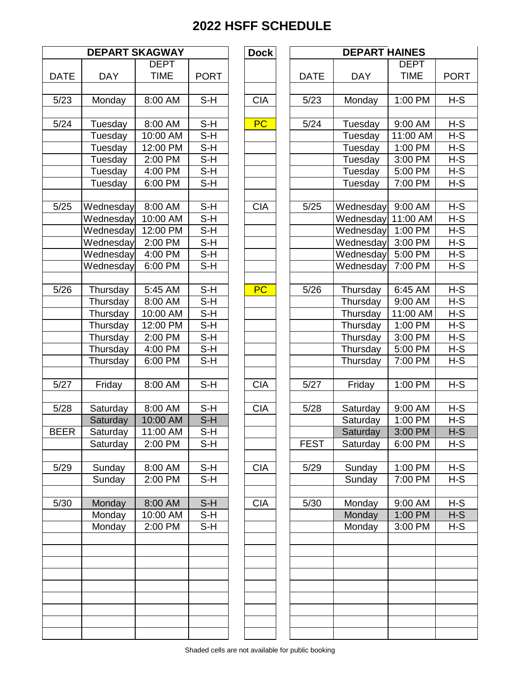| <b>DEPART SKAGWAY</b> |            |             |                            |  |  |  |  |  |
|-----------------------|------------|-------------|----------------------------|--|--|--|--|--|
|                       |            | <b>DEPT</b> |                            |  |  |  |  |  |
| <b>DATE</b>           | <b>DAY</b> | <b>TIME</b> | <b>PORT</b>                |  |  |  |  |  |
| 5/23                  | Monday     | 8:00 AM     | S-H                        |  |  |  |  |  |
| 5/24                  | Tuesday    | 8:00 AM     | $S-H$                      |  |  |  |  |  |
|                       | Tuesday    | 10:00 AM    | S-H                        |  |  |  |  |  |
|                       | Tuesday    | 12:00 PM    | S-H                        |  |  |  |  |  |
|                       | Tuesday    | 2:00 PM     | S-H                        |  |  |  |  |  |
|                       | Tuesday    | 4:00 PM     | S-H                        |  |  |  |  |  |
|                       | Tuesday    | 6:00 PM     | S-H                        |  |  |  |  |  |
|                       |            |             |                            |  |  |  |  |  |
| 5/25                  | Wednesday  | 8:00 AM     | S-H                        |  |  |  |  |  |
|                       | Wednesday  | 10:00 AM    | S-H                        |  |  |  |  |  |
|                       | Wednesday  | 12:00 PM    | S-H                        |  |  |  |  |  |
|                       | Wednesday  | 2:00 PM     | S-H                        |  |  |  |  |  |
|                       | Wednesday  | 4:00 PM     | $S-H$                      |  |  |  |  |  |
|                       | Wednesday  | 6:00 PM     | $S-H$                      |  |  |  |  |  |
|                       |            |             |                            |  |  |  |  |  |
| 5/26                  | Thursday   | 5:45 AM     | S-H                        |  |  |  |  |  |
|                       | Thursday   | 8:00 AM     | $S-H$                      |  |  |  |  |  |
|                       | Thursday   | 10:00 AM    | S-H                        |  |  |  |  |  |
|                       | Thursday   | 12:00 PM    | S-H                        |  |  |  |  |  |
|                       | Thursday   | 2:00 PM     | $\overline{\mathsf{S-H}}$  |  |  |  |  |  |
|                       | Thursday   | 4:00 PM     | S-H                        |  |  |  |  |  |
|                       | Thursday   | 6:00 PM     | S-H                        |  |  |  |  |  |
| 5/27                  | Friday     | 8:00 AM     | $S-H$                      |  |  |  |  |  |
|                       |            |             |                            |  |  |  |  |  |
| 5/28                  | Saturday   | 8:00 AM     | $S-H$                      |  |  |  |  |  |
|                       | Saturday   | 10:00 AM    | $\overline{\mathsf{S}}$ -H |  |  |  |  |  |
| <b>BEER</b>           | Saturday   | 11:00 AM    | S-H                        |  |  |  |  |  |
|                       | Saturday   | 2:00 PM     | S-H                        |  |  |  |  |  |
| 5/29                  | Sunday     | 8:00 AM     | S-H                        |  |  |  |  |  |
|                       | Sunday     | 2:00 PM     | S-H                        |  |  |  |  |  |
|                       |            |             |                            |  |  |  |  |  |
| 5/30                  | Monday     | 8:00 AM     | $S-H$                      |  |  |  |  |  |
|                       | Monday     | 10:00 AM    | $S-H$                      |  |  |  |  |  |
|                       | Monday     | 2:00 PM     | $S-H$                      |  |  |  |  |  |
|                       |            |             |                            |  |  |  |  |  |
|                       |            |             |                            |  |  |  |  |  |
|                       |            |             |                            |  |  |  |  |  |
|                       |            |             |                            |  |  |  |  |  |
|                       |            |             |                            |  |  |  |  |  |
|                       |            |             |                            |  |  |  |  |  |
|                       |            |             |                            |  |  |  |  |  |

|             | <b>DEPART SKAGWAY</b> |             |             | <b>Dock</b> |             | <b>DEPART HAINES</b> |             |             |
|-------------|-----------------------|-------------|-------------|-------------|-------------|----------------------|-------------|-------------|
|             |                       | <b>DEPT</b> |             |             |             |                      | <b>DEPT</b> |             |
| <b>DATE</b> | <b>DAY</b>            | <b>TIME</b> | <b>PORT</b> |             | <b>DATE</b> | <b>DAY</b>           | <b>TIME</b> | <b>PORT</b> |
|             |                       |             |             |             |             |                      |             |             |
| 5/23        | Monday                | 8:00 AM     | S-H         | <b>CIA</b>  | 5/23        | Monday               | 1:00 PM     | $H-S$       |
|             |                       |             |             |             |             |                      |             |             |
| $5/24$      | Tuesday               | 8:00 AM     | $S-H$       | <b>PC</b>   | $5/24$      | Tuesday              | 9:00 AM     | $H-S$       |
|             | Tuesday               | 10:00 AM    | S-H         |             |             | Tuesday              | 11:00 AM    | $H-S$       |
|             | Tuesday               | 12:00 PM    | $S-H$       |             |             | Tuesday              | 1:00 PM     | $H-S$       |
|             | Tuesday               | 2:00 PM     | $S-H$       |             |             | Tuesday              | 3:00 PM     | $H-S$       |
|             | Tuesday               | 4:00 PM     | $S-H$       |             |             | Tuesday              | 5:00 PM     | $H-S$       |
|             | Tuesday               | 6:00 PM     | $S-H$       |             |             | Tuesday              | 7:00 PM     | $H-S$       |
|             |                       |             |             |             |             |                      |             |             |
| 5/25        | Wednesday             | 8:00 AM     | $S-H$       | <b>CIA</b>  | 5/25        | Wednesday            | 9:00 AM     | $H-S$       |
|             | Wednesday             | 10:00 AM    | $S-H$       |             |             | Wednesday            | 11:00 AM    | $H-S$       |
|             | Wednesday             | 12:00 PM    | $S-H$       |             |             | Wednesday            | 1:00 PM     | $H-S$       |
|             | Wednesday             | 2:00 PM     | $S-H$       |             |             | Wednesday            | 3:00 PM     | $H-S$       |
|             | Wednesday             | 4:00 PM     | $S-H$       |             |             | Wednesday            | 5:00 PM     | $H-S$       |
|             | Wednesday             | 6:00 PM     | $S-H$       |             |             | Wednesday            | 7:00 PM     | $H-S$       |
|             |                       |             |             |             |             |                      |             |             |
| 5/26        | Thursday              | 5:45 AM     | $S-H$       | PC          | 5/26        | Thursday             | 6:45 AM     | $H-S$       |
|             | Thursday              | 8:00 AM     | $S-H$       |             |             | Thursday             | 9:00 AM     | $H-S$       |
|             | Thursday              | 10:00 AM    | $S-H$       |             |             | Thursday             | 11:00 AM    | $H-S$       |
|             | Thursday              | 12:00 PM    | $S-H$       |             |             | Thursday             | 1:00 PM     | $H-S$       |
|             | Thursday              | 2:00 PM     | $S-H$       |             |             | Thursday             | 3:00 PM     | $H-S$       |
|             | Thursday              | 4:00 PM     | $S-H$       |             |             | Thursday             | 5:00 PM     | H-S         |
|             | Thursday              | 6:00 PM     | $S-H$       |             |             | Thursday             | 7:00 PM     | $H-S$       |
|             |                       |             |             |             |             |                      |             |             |
| 5/27        | Friday                | 8:00 AM     | $S-H$       | <b>CIA</b>  | 5/27        | Friday               | 1:00 PM     | $H-S$       |
|             |                       |             |             |             |             |                      |             |             |
| 5/28        | Saturday              | 8:00 AM     | $S-H$       | <b>CIA</b>  | 5/28        | Saturday             | 9:00 AM     | $H-S$       |
|             | Saturday              | 10:00 AM    | $S-H$       |             |             | Saturday             | 1:00 PM     | H-S         |
| BEER        | Saturday              | 11:00 AM    | S-H         |             |             | Saturday             | 3:00 PM     | $H-S$       |
|             | Saturday              | 2:00 PM     | $S-H$       |             | <b>FEST</b> | Saturday             | 6:00 PM     | $H-S$       |
|             |                       |             |             |             |             |                      |             |             |
| 5/29        | Sunday                | 8:00 AM     | $S-H$       | <b>CIA</b>  | 5/29        | Sunday               | 1:00 PM     | $H-S$       |
|             | Sunday                | 2:00 PM     | $S-H$       |             |             | Sunday               | 7:00 PM     | $H-S$       |
|             |                       |             |             |             |             |                      |             |             |
| 5/30        | Monday                | 8:00 AM     | $S-H$       | <b>CIA</b>  | 5/30        | Monday               | 9:00 AM     | $H-S$       |
|             | Monday                | 10:00 AM    | $S-H$       |             |             | Monday               | 1:00 PM     | $H-S$       |
|             | Monday                | 2:00 PM     | $S-H$       |             |             | Monday               | 3:00 PM     | $H-S$       |
|             |                       |             |             |             |             |                      |             |             |
|             |                       |             |             |             |             |                      |             |             |
|             |                       |             |             |             |             |                      |             |             |
|             |                       |             |             |             |             |                      |             |             |
|             |                       |             |             |             |             |                      |             |             |
|             |                       |             |             |             |             |                      |             |             |
|             |                       |             |             |             |             |                      |             |             |
|             |                       |             |             |             |             |                      |             |             |
|             |                       |             |             |             |             |                      |             |             |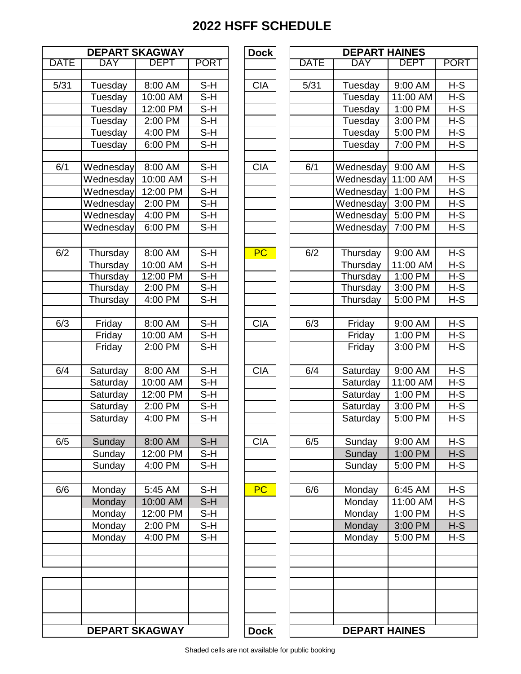| <b>DEPART SKAGWAY</b> |                       |                     |                            |  |  |  |  |
|-----------------------|-----------------------|---------------------|----------------------------|--|--|--|--|
| <b>DATE</b>           | <b>DAY</b>            | DEPT                | <b>PORT</b>                |  |  |  |  |
|                       |                       |                     |                            |  |  |  |  |
| 5/31                  | Tuesday               | 8:00 AM             | S-H                        |  |  |  |  |
|                       | Tuesday               | 10:00 AM            | $\overline{\mathsf{S}}$ -H |  |  |  |  |
|                       | Tuesday               | 12:00 PM            | $S-H$                      |  |  |  |  |
|                       | Tuesday               | 2:00 PM             | $S-H$                      |  |  |  |  |
|                       | Tuesday               | 4:00 PM             | $S-H$                      |  |  |  |  |
|                       | Tuesday               | 6:00 PM             | $S-H$                      |  |  |  |  |
| 6/1                   |                       | 8:00 AM             | S-H                        |  |  |  |  |
|                       | Wednesday             | 10:00 AM            | S-H                        |  |  |  |  |
|                       | Wednesday             |                     |                            |  |  |  |  |
|                       | Wednesday             | 12:00 PM            | $S-H$                      |  |  |  |  |
|                       | Wednesday             | 2:00 PM             | S-H                        |  |  |  |  |
|                       | Wednesday             | 4:00 PM             | $\overline{\mathsf{S-H}}$  |  |  |  |  |
|                       | Wednesday             | 6:00 PM             | S-H                        |  |  |  |  |
| 6/2                   |                       | 8:00 AM             | $S-H$                      |  |  |  |  |
|                       | Thursday              | 10:00 AM            | $S-H$                      |  |  |  |  |
|                       | Thursday              |                     | $\overline{\mathsf{S-H}}$  |  |  |  |  |
|                       | Thursday              | 12:00 PM<br>2:00 PM | $\overline{\mathsf{S}}$ -H |  |  |  |  |
|                       | Thursday              |                     |                            |  |  |  |  |
|                       | Thursday              | 4:00 PM             | $S-H$                      |  |  |  |  |
| 6/3                   | Friday                | 8:00 AM             | S-H                        |  |  |  |  |
|                       | Friday                | 10:00 AM            | S-H                        |  |  |  |  |
|                       | Friday                | 2:00 PM             | S-H                        |  |  |  |  |
|                       |                       |                     |                            |  |  |  |  |
| 6/4                   | Saturday              | 8:00 AM             | S-H                        |  |  |  |  |
|                       | Saturday              | 10:00 AM            | $S-H$                      |  |  |  |  |
|                       | Saturday              | 12:00 PM            | $S-H$                      |  |  |  |  |
|                       | Saturday              | 2:00 PM             | S-H                        |  |  |  |  |
|                       | Saturday              | 4:00 PM             | S-H                        |  |  |  |  |
|                       |                       |                     |                            |  |  |  |  |
| 6/5                   | Sunday                | 8:00 AM             | S-H                        |  |  |  |  |
|                       | Sunday                | 12:00 PM            | S-H                        |  |  |  |  |
|                       | Sunday                | 4:00 PM             | S-H                        |  |  |  |  |
| 6/6                   | Monday                | 5:45 AM             | S-H                        |  |  |  |  |
|                       | Monday                | 10:00 AM            | $S-H$                      |  |  |  |  |
|                       | Monday                | 12:00 PM            | S-H                        |  |  |  |  |
|                       | Monday                | 2:00 PM             | S-H                        |  |  |  |  |
|                       | Monday                | 4:00 PM             | S-H                        |  |  |  |  |
|                       |                       |                     |                            |  |  |  |  |
|                       |                       |                     |                            |  |  |  |  |
|                       |                       |                     |                            |  |  |  |  |
|                       |                       |                     |                            |  |  |  |  |
|                       |                       |                     |                            |  |  |  |  |
|                       | <b>DEPART SKAGWAY</b> |                     |                            |  |  |  |  |

|      | <b>DEPART SKAGWAY</b> |             |             | <b>Dock</b> |             | <b>DEPART HAINES</b> |             |             |
|------|-----------------------|-------------|-------------|-------------|-------------|----------------------|-------------|-------------|
| DATE | <b>DAY</b>            | <b>DEPT</b> | <b>PORT</b> |             | <b>DATE</b> | <b>DAY</b>           | <b>DEPT</b> | <b>PORT</b> |
|      |                       |             |             |             |             |                      |             |             |
| 5/31 | Tuesday               | 8:00 AM     | $S-H$       | <b>CIA</b>  | 5/31        | Tuesday              | 9:00 AM     | $H-S$       |
|      | Tuesday               | 10:00 AM    | $S-H$       |             |             | Tuesday              | 11:00 AM    | $H-S$       |
|      | Tuesday               | 12:00 PM    | $S-H$       |             |             | Tuesday              | 1:00 PM     | $H-S$       |
|      | Tuesday               | 2:00 PM     | $S-H$       |             |             | Tuesday              | 3:00 PM     | $H-S$       |
|      | Tuesday               | 4:00 PM     | $S-H$       |             |             | Tuesday              | 5:00 PM     | $H-S$       |
|      | Tuesday               | 6:00 PM     | $S-H$       |             |             | Tuesday              | 7:00 PM     | $H-S$       |
|      |                       |             |             |             |             |                      |             |             |
| 6/1  | Wednesday             | 8:00 AM     | $S-H$       | <b>CIA</b>  | 6/1         | Wednesday            | 9:00 AM     | $H-S$       |
|      | Wednesday             | 10:00 AM    | $S-H$       |             |             | Wednesday            | 11:00 AM    | $H-S$       |
|      | Wednesday             | 12:00 PM    | $S-H$       |             |             | Wednesday            | 1:00 PM     | $H-S$       |
|      | Wednesday             | 2:00 PM     | $S-H$       |             |             | Wednesday            | 3:00 PM     | $H-S$       |
|      | Wednesday             | 4:00 PM     | S-H         |             |             | Wednesday            | 5:00 PM     | H-S         |
|      | Wednesday             | 6:00 PM     | $S-H$       |             |             | Wednesday            | 7:00 PM     | $H-S$       |
|      |                       |             |             |             |             |                      |             |             |
| 6/2  | Thursday              | 8:00 AM     | $S-H$       | PC          | 6/2         | Thursday             | 9:00 AM     | $H-S$       |
|      | Thursday              | 10:00 AM    | $S-H$       |             |             | Thursday             | 11:00 AM    | $H-S$       |
|      | Thursday              | 12:00 PM    | $S-H$       |             |             | Thursday             | 1:00 PM     | $H-S$       |
|      | Thursday              | 2:00 PM     | S-H         |             |             | Thursday             | 3:00 PM     | $H-S$       |
|      | Thursday              | 4:00 PM     | $S-H$       |             |             | Thursday             | 5:00 PM     | $H-S$       |
|      |                       |             |             |             |             |                      |             |             |
| 6/3  | Friday                | 8:00 AM     | $S-H$       | <b>CIA</b>  | 6/3         | Friday               | 9:00 AM     | $H-S$       |
|      | Friday                | 10:00 AM    | $S-H$       |             |             | Friday               | 1:00 PM     | $H-S$       |
|      | Friday                | 2:00 PM     | $S-H$       |             |             | Friday               | 3:00 PM     | $H-S$       |
|      |                       |             |             |             |             |                      |             |             |
| 6/4  | Saturday              | 8:00 AM     | $S-H$       | <b>CIA</b>  | 6/4         | Saturday             | 9:00 AM     | $H-S$       |
|      | Saturday              | 10:00 AM    | $S-H$       |             |             | Saturday             | 11:00 AM    | $H-S$       |
|      | Saturday              | 12:00 PM    | $S-H$       |             |             | Saturday             | 1:00 PM     | $H-S$       |
|      | Saturday              | 2:00 PM     | $S-H$       |             |             | Saturday             | 3:00 PM     | $H-S$       |
|      | Saturday              | 4:00 PM     | $S-H$       |             |             | Saturday             | 5:00 PM     | $H-S$       |
|      |                       |             |             |             |             |                      |             |             |
| 6/5  | Sunday                | 8:00 AM     | $S-H$       | <b>CIA</b>  | 6/5         | Sunday               | 9:00 AM     | $H-S$       |
|      | Sunday                | 12:00 PM    | $S-H$       |             |             | Sunday               | 1:00 PM     | $H-S$       |
|      | Sunday                | 4:00 PM     | $S-H$       |             |             | Sunday               | 5:00 PM     | $H-S$       |
|      |                       |             |             |             |             |                      |             |             |
| 6/6  | Monday                | 5:45 AM     | $S-H$       | <b>PC</b>   | 6/6         | Monday               | 6:45 AM     | $H-S$       |
|      | Monday                | 10:00 AM    | $S-H$       |             |             | Monday               | 11:00 AM    | $H-S$       |
|      | Monday                | 12:00 PM    | $S-H$       |             |             | Monday               | 1:00 PM     | $H-S$       |
|      | Monday                | 2:00 PM     | $S-H$       |             |             | Monday               | 3:00 PM     | $H-S$       |
|      | Monday                | 4:00 PM     | S-H         |             |             | Monday               | 5:00 PM     | $H-S$       |
|      |                       |             |             |             |             |                      |             |             |
|      |                       |             |             |             |             |                      |             |             |
|      |                       |             |             |             |             |                      |             |             |
|      |                       |             |             |             |             |                      |             |             |
|      |                       |             |             |             |             |                      |             |             |
|      |                       |             |             |             |             |                      |             |             |
|      |                       |             |             |             |             |                      |             |             |
|      | <b>DEPART SKAGWAY</b> |             |             | <b>Dock</b> |             | <b>DEPART HAINES</b> |             |             |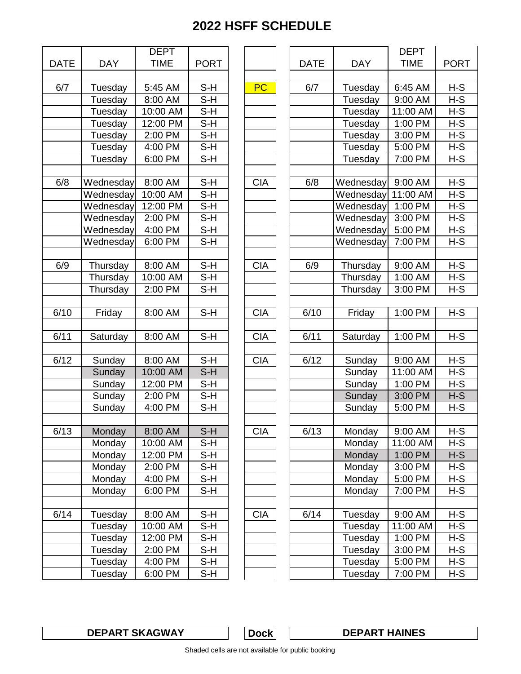|             |                | <b>DEPT</b>          |             |  |  |
|-------------|----------------|----------------------|-------------|--|--|
| <b>DATE</b> | <b>DAY</b>     | <b>TIME</b>          | <b>PORT</b> |  |  |
|             |                |                      |             |  |  |
| 6/7         | Tuesday        | 5:45 AM              | S-H         |  |  |
|             | Tuesday        | 8:00 AM              | S-H         |  |  |
|             | Tuesday        | 10:00 AM             | S-H         |  |  |
|             | Tuesday        | 12:00 PM             | S-H         |  |  |
|             | Tuesday        | 2:00 PM              | S-H         |  |  |
|             | Tuesday        | 4:00 PM              | S-H         |  |  |
|             | Tuesday        | 6:00 PM              | S-H         |  |  |
|             |                |                      |             |  |  |
| 6/8         | Wednesday      | 8:00 AM              | S-H         |  |  |
|             | Wednesday      | 10:00 AM             | S-H         |  |  |
|             | Wednesday      | 12:00 PM             | S-H         |  |  |
|             | Wednesday      | 2:00 PM              | S-H         |  |  |
|             | Wednesday      | 4:00 PM              | S-H         |  |  |
|             | Wednesday      | 6:00 PM              | S-H         |  |  |
|             |                |                      |             |  |  |
| 6/9         | Thursday       | 8:00 AM              | $S-H$       |  |  |
|             | Thursday       | 10:00 AM             | S-H         |  |  |
|             | Thursday       | 2:00 PM              | S-H         |  |  |
|             |                |                      |             |  |  |
| 6/10        | Friday         | 8:00 AM              | $S-H$       |  |  |
|             |                |                      |             |  |  |
| 6/11        | Saturday       | 8:00 AM              | $S-H$       |  |  |
|             |                |                      |             |  |  |
| 6/12        | Sunday         | 8:00 AM              | S-H         |  |  |
|             | Sunday         | 10:00 AM             | $S-H$       |  |  |
|             | Sunday         | 12:00 PM             | S-H         |  |  |
|             | Sunday         | 2:00 PM              | $S-H$       |  |  |
|             | Sunday         | 4:00 PM              | S-H         |  |  |
|             |                |                      |             |  |  |
| 6/13        | Monday         | 8:00 AM              | $S-H$       |  |  |
|             | Monday         | 10:00 AM             | S-H         |  |  |
|             | Monday         | 12:00 PM             | S-H         |  |  |
|             | Monday         | 2:00 PM              | S-H         |  |  |
|             | Monday         | 4:00 PM              | S-H         |  |  |
|             | Monday         | 6:00 PM              | S-H         |  |  |
|             |                |                      |             |  |  |
| 6/14        | Tuesday        | 8:00 AM              | $S-H$       |  |  |
|             | Tuesday        | 10:00 AM             | $S-H$       |  |  |
|             | Tuesday        | 12:00 PM             | S-H         |  |  |
|             | <b>Tuesday</b> | 2:00 PM              | S-H         |  |  |
|             | Tuesday        | $\overline{4:}00$ PM | $S-H$       |  |  |
|             | Tuesday        | 6:00 PM              | S-H         |  |  |
|             |                |                      |             |  |  |

|                   |            | <b>DEPT</b> |                            |            |             |            | <b>DEPT</b> |             |
|-------------------|------------|-------------|----------------------------|------------|-------------|------------|-------------|-------------|
| <b>ATE</b>        | <b>DAY</b> | <b>TIME</b> | <b>PORT</b>                |            | <b>DATE</b> | <b>DAY</b> | <b>TIME</b> | <b>PORT</b> |
|                   |            |             |                            |            |             |            |             |             |
| 6/7               | Tuesday    | 5:45 AM     | $S-H$                      | <b>PC</b>  | 6/7         | Tuesday    | 6:45 AM     | $H-S$       |
|                   | Tuesday    | 8:00 AM     | $S-H$                      |            |             | Tuesday    | 9:00 AM     | $H-S$       |
|                   | Tuesday    | 10:00 AM    | $S-H$                      |            |             | Tuesday    | 11:00 AM    | $H-S$       |
|                   | Tuesday    | 12:00 PM    | $S-H$                      |            |             | Tuesday    | 1:00 PM     | $H-S$       |
|                   | Tuesday    | 2:00 PM     | $S-H$                      |            |             | Tuesday    | 3:00 PM     | $H-S$       |
|                   | Tuesday    | 4:00 PM     | $S-H$                      |            |             | Tuesday    | 5:00 PM     | $H-S$       |
|                   | Tuesday    | 6:00 PM     | $S-H$                      |            |             | Tuesday    | 7:00 PM     | $H-S$       |
|                   |            |             |                            |            |             |            |             |             |
| 6/8               | Wednesday  | 8:00 AM     | $S-H$                      | <b>CIA</b> | 6/8         | Wednesday  | 9:00 AM     | $H-S$       |
|                   | Wednesday  | 10:00 AM    | $S-H$                      |            |             | Wednesday  | 11:00 AM    | $H-S$       |
|                   | Wednesday  | 12:00 PM    | $S-H$                      |            |             | Wednesday  | 1:00 PM     | $H-S$       |
|                   | Wednesday  | 2:00 PM     | $\overline{\mathsf{S}}$ -H |            |             | Wednesday  | 3:00 PM     | $H-S$       |
|                   | Wednesday  | 4:00 PM     | $S-H$                      |            |             | Wednesday  | 5:00 PM     | $H-S$       |
|                   | Wednesday  | 6:00 PM     | $S-H$                      |            |             | Wednesday  | 7:00 PM     | $H-S$       |
|                   |            |             |                            |            |             |            |             |             |
| 6/9               | Thursday   | 8:00 AM     | $S-H$                      | <b>CIA</b> | 6/9         | Thursday   | 9:00 AM     | $H-S$       |
|                   | Thursday   | 10:00 AM    | $S-H$                      |            |             | Thursday   | 1:00 AM     | $H-S$       |
|                   | Thursday   | 2:00 PM     | $S-H$                      |            |             | Thursday   | 3:00 PM     | $H-S$       |
|                   |            |             |                            |            |             |            |             |             |
| 6/10              | Friday     | 8:00 AM     | S-H                        | <b>CIA</b> | 6/10        | Friday     | 1:00 PM     | $H-S$       |
|                   |            |             |                            |            |             |            |             |             |
| $\overline{6/11}$ | Saturday   | 8:00 AM     | $S-H$                      | <b>CIA</b> | 6/11        | Saturday   | 1:00 PM     | $H-S$       |
|                   |            |             |                            |            |             |            |             |             |
| 6/12              | Sunday     | 8:00 AM     | $S-H$                      | <b>CIA</b> | 6/12        | Sunday     | 9:00 AM     | $H-S$       |
|                   | Sunday     | 10:00 AM    | $S-H$                      |            |             | Sunday     | 11:00 AM    | $H-S$       |
|                   | Sunday     | 12:00 PM    | $S-H$                      |            |             | Sunday     | 1:00 PM     | $H-S$       |
|                   | Sunday     | 2:00 PM     | S-H                        |            |             | Sunday     | 3:00 PM     | $H-S$       |
|                   | Sunday     | 4:00 PM     | $S-H$                      |            |             | Sunday     | 5:00 PM     | $H-S$       |
|                   |            |             |                            |            |             |            |             |             |
| 6/13              | Monday     | 8:00 AM     | $S-H$                      | <b>CIA</b> | 6/13        | Monday     | 9:00 AM     | $H-S$       |
|                   | Monday     | 10:00 AM    | S-H                        |            |             | Monday     | 11:00 AM    | H-S         |
|                   | Monday     | 12:00 PM    | S-H                        |            |             | Monday     | 1:00 PM     | $H-S$       |
|                   | Monday     | 2:00 PM     | S-H                        |            |             | Monday     | 3:00 PM     | H-S         |
|                   | Monday     | 4:00 PM     | S-H                        |            |             | Monday     | 5:00 PM     | H-S         |
|                   | Monday     | 6:00 PM     | $S-H$                      |            |             | Monday     | 7:00 PM     | $H-S$       |
|                   |            |             |                            |            |             |            |             |             |
| 6/14              | Tuesday    | 8:00 AM     | $S-H$                      | <b>CIA</b> | 6/14        | Tuesday    | 9:00 AM     | $H-S$       |
|                   | Tuesday    | 10:00 AM    | S-H                        |            |             | Tuesday    | 11:00 AM    | H-S         |
|                   | Tuesday    | 12:00 PM    | S-H                        |            |             | Tuesday    | 1:00 PM     | H-S         |
|                   | Tuesday    | 2:00 PM     | S-H                        |            |             | Tuesday    | 3:00 PM     | H-S         |
|                   | Tuesday    | 4:00 PM     | S-H                        |            |             | Tuesday    | 5:00 PM     | H-S         |
|                   | Tuesday    | 6:00 PM     | S-H                        |            |             | Tuesday    | 7:00 PM     | H-S         |

**DEPART SKAGWAY DEPART HAINES**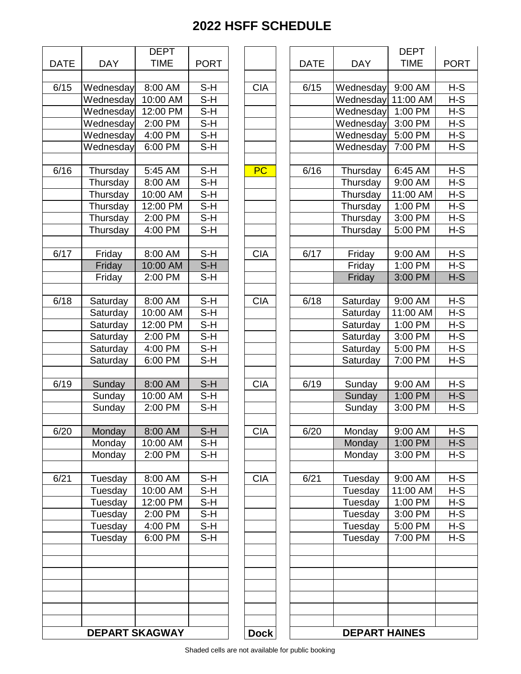| <b>DATE</b> | <b>DAY</b>            | <b>DEPT</b><br><b>TIME</b> | <b>PORT</b>                |  |
|-------------|-----------------------|----------------------------|----------------------------|--|
|             |                       |                            |                            |  |
| 6/15        | Wednesday             | 8:00 AM                    | S-H                        |  |
|             | Wednesday             | 10:00 AM                   | S-H                        |  |
|             | Wednesday             | 12:00 PM                   | S-H                        |  |
|             | Wednesday             | 2:00 PM                    | S-H                        |  |
|             | Wednesday             | 4:00 PM                    | S-H                        |  |
|             | Wednesday             | 6:00 PM                    | S-H                        |  |
| 6/16        | Thursday              | 5:45 AM                    | S-H                        |  |
|             | Thursday              | 8:00 AM                    | S-H                        |  |
|             | Thursday              | 10:00 AM                   | S-H                        |  |
|             | Thursday              | 12:00 PM                   | S-H                        |  |
|             | Thursday              | 2:00 PM                    | S-H                        |  |
|             | Thursday              | 4:00 PM                    | S-H                        |  |
| 6/17        | Friday                | 8:00 AM                    | $S-H$                      |  |
|             | Friday                | 10:00 AM                   | $S-H$                      |  |
|             | Friday                | 2:00 PM                    | S-H                        |  |
|             |                       |                            |                            |  |
| 6/18        | Saturday              | 8:00 AM                    | S-H                        |  |
|             | Saturday              | 10:00 AM                   | $S-H$                      |  |
|             | Saturday              | 12:00 PM                   | S-H                        |  |
|             | Saturday              | 2:00 PM                    | S-H                        |  |
|             | Saturday              | 4:00 PM                    | S-H                        |  |
|             | Saturday              | 6:00 PM                    | S-H                        |  |
|             |                       |                            |                            |  |
| 6/19        | Sunday                | 8:00 AM                    | $S-H$                      |  |
|             | Sunday                | 10:00 AM                   | S-H                        |  |
|             | Sunday                | 2:00 PM                    | $S-H$                      |  |
| 6/20        | Monday                | 8:00 AM                    | S-H                        |  |
|             | Monday                | 10:00 AM                   | S-H                        |  |
|             | Monday                | 2:00 PM                    | $S-H$                      |  |
| 6/21        | Tuesday               | 8:00 AM                    | S-H                        |  |
|             | Tuesday               | 10:00 AM                   | $\overline{\mathsf{S}}$ -H |  |
|             | Tuesday               | 12:00 PM                   | S-H                        |  |
|             | Tuesday               | 2:00 PM                    | S-H                        |  |
|             | Tuesday               | $4:00 P\overline{M}$       | S-H                        |  |
|             | Tuesday               | 6:00 PM                    | S-H                        |  |
|             |                       |                            |                            |  |
|             |                       |                            |                            |  |
|             |                       |                            |                            |  |
|             |                       |                            |                            |  |
|             | <b>DEPART SKAGWAY</b> |                            |                            |  |

|                    |                       | <b>DEPT</b> |                            |             |             |                      | <b>DEPT</b> |             |
|--------------------|-----------------------|-------------|----------------------------|-------------|-------------|----------------------|-------------|-------------|
| <b>ATE</b>         | <b>DAY</b>            | <b>TIME</b> | <b>PORT</b>                |             | <b>DATE</b> | <b>DAY</b>           | <b>TIME</b> | <b>PORT</b> |
|                    |                       |             |                            |             |             |                      |             |             |
| 6/15               | Wednesday             | 8:00 AM     | $S-H$                      | <b>CIA</b>  | 6/15        | Wednesday            | 9:00 AM     | $H-S$       |
|                    | Wednesday             | 10:00 AM    | S-H                        |             |             | Wednesday            | 11:00 AM    | $H-S$       |
|                    | Wednesday             | 12:00 PM    | S-H                        |             |             | Wednesday            | 1:00 PM     | $H-S$       |
|                    | Wednesday             | 2:00 PM     | $S-H$                      |             |             | Wednesday            | 3:00 PM     | $H-S$       |
|                    | Wednesday             | 4:00 PM     | $S-H$                      |             |             | Wednesday            | 5:00 PM     | $H-S$       |
|                    | Wednesday             | 6:00 PM     | $S-H$                      |             |             | Wednesday            | 7:00 PM     | $H-S$       |
|                    |                       |             |                            |             |             |                      |             |             |
| 6/16               | Thursday              | 5:45 AM     | $S-H$                      | <b>PC</b>   | 6/16        | Thursday             | 6:45 AM     | $H-S$       |
|                    | Thursday              | 8:00 AM     | $S-H$                      |             |             | Thursday             | 9:00 AM     | $H-S$       |
|                    | Thursday              | 10:00 AM    | $S-H$                      |             |             | Thursday             | 11:00 AM    | $H-S$       |
|                    | Thursday              | 12:00 PM    | $S-H$                      |             |             | Thursday             | 1:00 PM     | $H-S$       |
|                    | Thursday              | 2:00 PM     | $S-H$                      |             |             | Thursday             | 3:00 PM     | $H-S$       |
|                    | Thursday              | 4:00 PM     | $S-H$                      |             |             | Thursday             | 5:00 PM     | $H-S$       |
|                    |                       |             |                            |             |             |                      |             |             |
| 6/17               | Friday                | 8:00 AM     | $S-H$                      | <b>CIA</b>  | 6/17        | Friday               | 9:00 AM     | $H-S$       |
|                    | Friday                | 10:00 AM    | $S-H$                      |             |             | Friday               | 1:00 PM     | $H-S$       |
|                    | Friday                | 2:00 PM     | $S-H$                      |             |             | Friday               | 3:00 PM     | $H-S$       |
|                    |                       |             |                            |             |             |                      |             |             |
| 6/18               | Saturday              | 8:00 AM     | $S-H$                      | <b>CIA</b>  | 6/18        | Saturday             | 9:00 AM     | $H-S$       |
|                    | Saturday              | 10:00 AM    | $S-H$                      |             |             | Saturday             | 11:00 AM    | $H-S$       |
|                    | Saturday              | 12:00 PM    | $S-H$                      |             |             | Saturday             | 1:00 PM     | $H-S$       |
|                    | Saturday              | 2:00 PM     | $\overline{\mathsf{S}}$ -H |             |             | Saturday             | 3:00 PM     | $H-S$       |
|                    | Saturday              | 4:00 PM     | $S-H$                      |             |             | Saturday             | 5:00 PM     | $H-S$       |
|                    | Saturday              | 6:00 PM     | $S-H$                      |             |             | Saturday             | 7:00 PM     | $H-S$       |
|                    |                       |             |                            |             |             |                      |             |             |
| $\overline{6}$ /19 | Sunday                | 8:00 AM     | $S-H$                      | <b>CIA</b>  | 6/19        | Sunday               | 9:00 AM     | $H-S$       |
|                    | Sunday                | 10:00 AM    | S-H                        |             |             | Sunday               | 1:00 PM     | H-S         |
|                    | Sunday                | 2:00 PM     | $S-H$                      |             |             | Sunday               | 3:00 PM     | $H-S$       |
|                    |                       |             |                            |             |             |                      |             |             |
| 6/20               | Monday                | 8:00 AM     | $S-H$                      | CIA         | 6/20        | Monday               | $9:00$ AM   | H-S         |
|                    | Monday                | 10:00 AM    | $S-H$                      |             |             | Monday               | 1:00 PM     | $H-S$       |
|                    | Monday                | 2:00 PM     | $S-H$                      |             |             | Monday               | 3:00 PM     | H-S         |
|                    |                       |             |                            |             |             |                      |             |             |
| $\overline{6}/21$  | Tuesday               | 8:00 AM     | $S-H$                      | <b>CIA</b>  | 6/21        | Tuesday              | 9:00 AM     | $H-S$       |
|                    | Tuesday               | 10:00 AM    | S-H                        |             |             | Tuesday              | 11:00 AM    | $H-S$       |
|                    | Tuesday               | 12:00 PM    | S-H                        |             |             | Tuesday              | 1:00 PM     | $H-S$       |
|                    | Tuesday               | 2:00 PM     | S-H                        |             |             | Tuesday              | 3:00 PM     | $H-S$       |
|                    | Tuesday               | 4:00 PM     | S-H                        |             |             | Tuesday              | 5:00 PM     | $H-S$       |
|                    | Tuesday               | 6:00 PM     | $S-H$                      |             |             | Tuesday              | 7:00 PM     | H-S         |
|                    |                       |             |                            |             |             |                      |             |             |
|                    |                       |             |                            |             |             |                      |             |             |
|                    |                       |             |                            |             |             |                      |             |             |
|                    |                       |             |                            |             |             |                      |             |             |
|                    |                       |             |                            |             |             |                      |             |             |
|                    |                       |             |                            |             |             |                      |             |             |
|                    |                       |             |                            |             |             |                      |             |             |
|                    | <b>DEPART SKAGWAY</b> |             |                            | <b>Dock</b> |             | <b>DEPART HAINES</b> |             |             |
|                    |                       |             |                            |             |             |                      |             |             |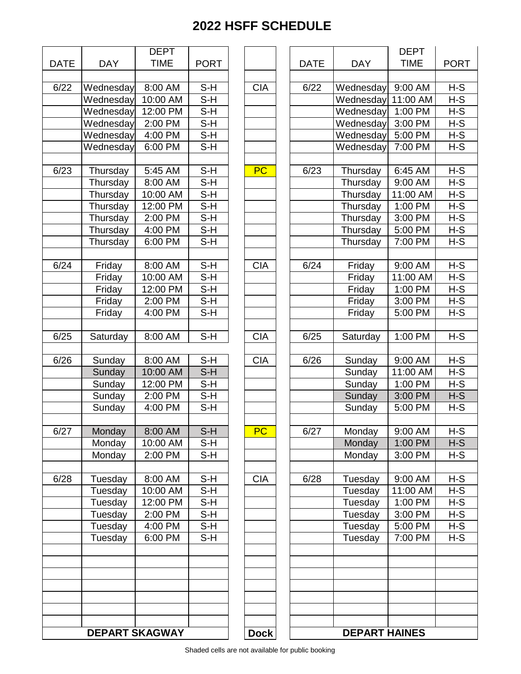| <b>DATE</b> | <b>DAY</b> | <b>DEPT</b><br><b>TIME</b> | <b>PORT</b>                |  |
|-------------|------------|----------------------------|----------------------------|--|
|             |            |                            |                            |  |
| 6/22        | Wednesday  | 8:00 AM                    | S-H                        |  |
|             | Wednesday  | 10:00 AM                   | S-H                        |  |
|             | Wednesday  | 12:00 PM                   | S-H                        |  |
|             | Wednesday  | 2:00 PM                    | S-H                        |  |
|             | Wednesday  | 4:00 PM                    | S-H                        |  |
|             | Wednesday  | 6:00 PM                    | S-H                        |  |
| 6/23        | Thursday   | 5:45 AM                    | S-H                        |  |
|             | Thursday   | 8:00 AM                    | $S-H$                      |  |
|             | Thursday   | 10:00 AM                   | $S-H$                      |  |
|             |            | 12:00 PM                   | $S-H$                      |  |
|             | Thursday   |                            |                            |  |
|             | Thursday   | 2:00 PM                    | S-H                        |  |
|             | Thursday   | 4:00 PM                    | S-H                        |  |
|             | Thursday   | 6:00 PM                    | S-H                        |  |
| 6/24        | Friday     | 8:00 AM                    | S-H                        |  |
|             | Friday     | 10:00 AM                   | S-H                        |  |
|             | Friday     | 12:00 PM                   | S-H                        |  |
|             | Friday     | 2:00 PM                    | $S-H$                      |  |
|             | Friday     | 4:00 PM                    | S-H                        |  |
| 6/25        | Saturday   | 8:00 AM                    | $S-\overline{H}$           |  |
| 6/26        | Sunday     | 8:00 AM                    | S-H                        |  |
|             | Sunday     | 10:00 AM                   | S-H                        |  |
|             | Sunday     | 12:00 PM                   | S-H                        |  |
|             | Sunday     | 2:00 PM                    | $S-H$                      |  |
|             | Sunday     | 4:00 PM                    | S-H                        |  |
|             |            |                            |                            |  |
| 6/27        | Monday     | 8:00 AM                    | $S-H$                      |  |
|             | Monday     | 10:00 AM                   | S-H                        |  |
|             | Monday     | 2:00 PM                    | $\overline{\mathsf{S}}$ -H |  |
| 6/28        | Tuesday    | 8:00 AM                    | S-H                        |  |
|             | Tuesday    | 10:00 AM                   | $S-H$                      |  |
|             | Tuesday    | 12:00 PM                   | S-H                        |  |
|             | Tuesday    | 2:00 PM                    | S-H                        |  |
|             | Tuesday    | 4:00 PM                    | $\overline{\mathsf{S}}$ -H |  |
|             | Tuesday    | 6:00 PM                    | S-H                        |  |
|             |            |                            |                            |  |
|             |            |                            |                            |  |
|             |            |                            |                            |  |
|             |            | <b>DEPART SKAGWAY</b>      |                            |  |

|                   |                       | <b>DEPT</b> |                            |             |             |                      | <b>DEPT</b>         |             |
|-------------------|-----------------------|-------------|----------------------------|-------------|-------------|----------------------|---------------------|-------------|
| <b>DATE</b>       | <b>DAY</b>            | <b>TIME</b> | <b>PORT</b>                |             | <b>DATE</b> | <b>DAY</b>           | <b>TIME</b>         | <b>PORT</b> |
|                   |                       |             |                            |             |             |                      |                     |             |
| 6/22              | Wednesday             | 8:00 AM     | $S-H$                      | <b>CIA</b>  | 6/22        | Wednesday            | 9:00 AM             | $H-S$       |
|                   | Wednesday             | 10:00 AM    | $S-H$                      |             |             | Wednesday            | 11:00 AM            | $H-S$       |
|                   | Wednesday             | 12:00 PM    | $S-H$                      |             |             | Wednesday            | 1:00 PM             | $H-S$       |
|                   | Wednesday             | 2:00 PM     | $S-H$                      |             |             | Wednesday            | 3:00 PM             | $H-S$       |
|                   | Wednesday             | 4:00 PM     | $S-H$                      |             |             | Wednesday            | 5:00 PM             | $H-S$       |
|                   | Wednesday             | 6:00 PM     | $S-H$                      |             |             | Wednesday            | 7:00 PM             | $H-S$       |
|                   |                       |             |                            |             |             |                      |                     |             |
| 6/23              | Thursday              | 5:45 AM     | $S-H$                      | <b>PC</b>   | 6/23        | Thursday             | 6:45 AM             | H-S         |
|                   | Thursday              | 8:00 AM     | S-H                        |             |             | Thursday             | 9:00 AM             | $H-S$       |
|                   | Thursday              | 10:00 AM    | $\overline{\mathsf{S}}$ -H |             |             | Thursday             | 11:00 AM            | $H-S$       |
|                   | Thursday              | 12:00 PM    | $S-H$                      |             |             | Thursday             | 1:00 PM             | $H-S$       |
|                   | Thursday              | 2:00 PM     | $S-H$                      |             |             | Thursday             | 3:00 PM             | $H-S$       |
|                   | Thursday              | 4:00 PM     | S-H                        |             |             | Thursday             | 5:00 PM             | $H-S$       |
|                   | Thursday              | 6:00 PM     | $S-H$                      |             |             | Thursday             | 7:00 PM             | $H-S$       |
|                   |                       |             |                            |             |             |                      |                     |             |
| 6/24              | Friday                | 8:00 AM     | $S-H$                      | <b>CIA</b>  | 6/24        | Friday               | 9:00 AM             | $H-S$       |
|                   | Friday                | 10:00 AM    | $S-H$                      |             |             | Friday               | 11:00 AM            | $H-S$       |
|                   | Friday                | 12:00 PM    | $S-H$                      |             |             | Friday               | 1:00 PM             | $H-S$       |
|                   | Friday                | 2:00 PM     | $S-H$                      |             |             | Friday               | 3:00 PM             | $H-S$       |
|                   | Friday                | 4:00 PM     | $S-H$                      |             |             | Friday               | 5:00 PM             | $H-S$       |
|                   |                       |             |                            |             |             |                      |                     |             |
| $\overline{6}/25$ | Saturday              | 8:00 AM     | $S-H$                      | <b>CIA</b>  | 6/25        | Saturday             | 1:00 PM             | $H-S$       |
|                   |                       |             |                            |             |             |                      |                     |             |
| 6/26              |                       | 8:00 AM     | $S-H$                      | <b>CIA</b>  | 6/26        |                      | 9:00 AM             | $H-S$       |
|                   | Sunday                |             |                            |             |             | Sunday               |                     |             |
|                   | Sunday                | 10:00 AM    | S-H                        |             |             | Sunday               | 11:00 AM            | $H-S$       |
|                   | Sunday                | 12:00 PM    | $S-H$                      |             |             | Sunday               | 1:00 PM             | $H-S$       |
|                   | Sunday                | 2:00 PM     | $S-H$                      |             |             | Sunday               | 3:00 PM             | $H-S$       |
|                   | Sunday                | 4:00 PM     | $S-H$                      |             |             | Sunday               | 5:00 PM             | $H-S$       |
|                   |                       |             |                            |             |             |                      |                     |             |
| 6/27              | Monday                | 8:00 AM     | $S-H$                      | PC          | 6/27        | Monday               | $9:00 \, \text{AM}$ | $H-S$       |
|                   | Monday                | 10:00 AM    | S-H                        |             |             | Monday               | 1:00 PM             | $H-S$       |
|                   | Monday                | 2:00 PM     | $S-H$                      |             |             | Monday               | 3:00 PM             | H-S         |
|                   |                       |             |                            |             |             |                      |                     |             |
| 6/28              | Tuesday               | 8:00 AM     | $S-H$                      | <b>CIA</b>  | 6/28        | Tuesday              | 9:00 AM             | $H-S$       |
|                   | Tuesday               | 10:00 AM    | S-H                        |             |             | Tuesday              | 11:00 AM            | $H-S$       |
|                   | Tuesday               | 12:00 PM    | $S-H$                      |             |             | Tuesday              | 1:00 PM             | $H-S$       |
|                   | Tuesday               | 2:00 PM     | $S-H$                      |             |             | Tuesday              | 3:00 PM             | $H-S$       |
|                   | Tuesday               | 4:00 PM     | $S-H$                      |             |             | Tuesday              | 5:00 PM             | $H-S$       |
|                   | Tuesday               | 6:00 PM     | $S-H$                      |             |             | Tuesday              | 7:00 PM             | $H-S$       |
|                   |                       |             |                            |             |             |                      |                     |             |
|                   |                       |             |                            |             |             |                      |                     |             |
|                   |                       |             |                            |             |             |                      |                     |             |
|                   |                       |             |                            |             |             |                      |                     |             |
|                   |                       |             |                            |             |             |                      |                     |             |
|                   |                       |             |                            |             |             |                      |                     |             |
|                   |                       |             |                            |             |             |                      |                     |             |
|                   | <b>DEPART SKAGWAY</b> |             |                            | <b>Dock</b> |             | <b>DEPART HAINES</b> |                     |             |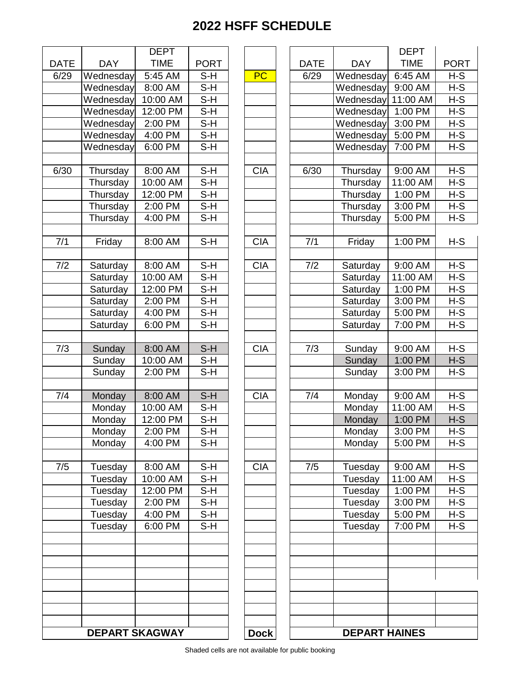|             |                       | <b>DEPT</b> |                            |
|-------------|-----------------------|-------------|----------------------------|
| <b>DATE</b> | DAY                   | <b>TIME</b> | <b>PORT</b>                |
| 6/29        | Wednesday             | 5:45 AM     | S-H                        |
|             | Wednesday             | $8:00$ AM   | S-H                        |
|             | Wednesday             | 10:00 AM    | S-H                        |
|             | Wednesday             | 12:00 PM    | $S-H$                      |
|             | Wednesday             | 2:00 PM     | $S-H$                      |
|             | Wednesday             | 4:00 PM     | S-H                        |
|             | Wednesday             | 6:00 PM     | S-H                        |
|             |                       |             |                            |
| 6/30        | Thursday              | 8:00 AM     | $S-H$                      |
|             | Thursday              | 10:00 AM    | S-H                        |
|             | Thursday              | 12:00 PM    | $\overline{\mathsf{S-H}}$  |
|             | Thursday              | 2:00 PM     | S-H                        |
|             | Thursday              | 4:00 PM     | $S-H$                      |
|             |                       |             |                            |
| 7/1         | Friday                | 8:00 AM     | S-H                        |
|             |                       |             |                            |
| 7/2         | Saturday              | 8:00 AM     | $S-H$                      |
|             | Saturday              | 10:00 AM    | S-H                        |
|             | Saturday              | 12:00 PM    | S-H                        |
|             | Saturday              | 2:00 PM     | $S-H$                      |
|             | Saturday              | 4:00 PM     | S-H                        |
|             | Saturday              | 6:00 PM     | $S-H$                      |
|             |                       |             |                            |
| 7/3         | Sunday                | 8:00 AM     | S-H                        |
|             | Sunday                | 10:00 AM    | $S-H$                      |
|             | Sunday                | 2:00 PM     | S-H                        |
|             |                       |             |                            |
| 7/4         | Monday                | 8:00 AM     | $S-H$                      |
|             | Monday                | 10:00 AM    | S-H                        |
|             | Monday                | 12:00 PM    | S-H                        |
|             | Monday                | 2:00 PM     | S-H                        |
|             | Monday                | 4:00 PM     | S-H                        |
|             |                       |             |                            |
| 7/5         | Tuesday               | 8:00 AM     | $S-H$                      |
|             | Tuesday               | 10:00 AM    | S-H                        |
|             | Tuesday               | 12:00 PM    | $\overline{\mathsf{S}}$ -H |
|             | Tuesday               | 2:00 PM     | S-H                        |
|             | Tuesday               | 4:00 PM     | S-H                        |
|             | Tuesday               | 6:00 PM     | $S-H$                      |
|             |                       |             |                            |
|             |                       |             |                            |
|             |                       |             |                            |
|             |                       |             |                            |
|             |                       |             |                            |
|             |                       |             |                            |
|             |                       |             |                            |
|             |                       |             |                            |
|             | <b>DEPART SKAGWAY</b> |             |                            |

|            |                       | <b>DEPT</b>                  |             |             |             |                      | <b>DEPT</b> |             |
|------------|-----------------------|------------------------------|-------------|-------------|-------------|----------------------|-------------|-------------|
| <b>ATE</b> | <b>DAY</b>            | <b>TIME</b>                  | <b>PORT</b> |             | <b>DATE</b> | <b>DAY</b>           | <b>TIME</b> | <b>PORT</b> |
| 6/29       | Wednesday             | 5:45 AM                      | S-H         | <b>PC</b>   | 6/29        | Wednesday            | 6:45 AM     | $H-S$       |
|            | Wednesday             | 8:00 AM                      | $S-H$       |             |             | Wednesday            | 9:00 AM     | $H-S$       |
|            | Wednesday             | 10:00 AM                     | $S-H$       |             |             | Wednesday            | 11:00 AM    | $H-S$       |
|            | Wednesday             | 12:00 PM                     | $S-H$       |             |             | Wednesday            | 1:00 PM     | $H-S$       |
|            | Wednesday             | 2:00 PM                      | $S-H$       |             |             | Wednesday            | 3:00 PM     | $H-S$       |
|            | Wednesday             | $\overline{4:}00 \text{ PM}$ | S-H         |             |             | Wednesday            | 5:00 PM     | $H-S$       |
|            | Wednesday             | 6:00 PM                      | $S-H$       |             |             | Wednesday            | 7:00 PM     | $H-S$       |
|            |                       |                              |             |             |             |                      |             |             |
| 6/30       | Thursday              | 8:00 AM                      | $S-H$       | <b>CIA</b>  | 6/30        | Thursday             | 9:00 AM     | $H-S$       |
|            | Thursday              | 10:00 AM                     | $S-H$       |             |             | Thursday             | 11:00 AM    | $H-S$       |
|            | Thursday              | 12:00 PM                     | $S-H$       |             |             | Thursday             | 1:00 PM     | $H-S$       |
|            | Thursday              | 2:00 PM                      | S-H         |             |             | Thursday             | 3:00 PM     | $H-S$       |
|            | Thursday              | 4:00 PM                      | $S-H$       |             |             | Thursday             | 5:00 PM     | $H-S$       |
|            |                       |                              |             |             |             |                      |             |             |
| 7/1        | Friday                | 8:00 AM                      | $S-H$       | <b>CIA</b>  | 7/1         | Friday               | 1:00 PM     | H-S         |
|            |                       |                              |             |             |             |                      |             |             |
| 7/2        | Saturday              | 8:00 AM                      | $S-H$       | <b>CIA</b>  | 7/2         | Saturday             | 9:00 AM     | $H-S$       |
|            | Saturday              | 10:00 AM                     | $S-H$       |             |             | Saturday             | 11:00 AM    | $H-S$       |
|            | Saturday              | 12:00 PM                     | $S-H$       |             |             | Saturday             | 1:00 PM     | $H-S$       |
|            | Saturday              | 2:00 PM                      | $S-H$       |             |             | Saturday             | 3:00 PM     | $H-S$       |
|            | Saturday              | 4:00 PM                      | $S-H$       |             |             | Saturday             | 5:00 PM     | $H-S$       |
|            | Saturday              | 6:00 PM                      | $S-H$       |             |             | Saturday             | 7:00 PM     | $H-S$       |
|            |                       |                              |             |             |             |                      |             |             |
| 7/3        | Sunday                | 8:00 AM                      | $S-H$       | <b>CIA</b>  | 7/3         | Sunday               | 9:00 AM     | $H-S$       |
|            | Sunday                | 10:00 AM                     | $S-H$       |             |             | Sunday               | 1:00 PM     | $H-S$       |
|            | Sunday                | 2:00 PM                      | $S-H$       |             |             | Sunday               | 3:00 PM     | $H-S$       |
|            |                       |                              |             |             |             |                      |             |             |
| 7/4        | Monday                | 8:00 AM                      | $S-H$       | <b>CIA</b>  | 7/4         | Monday               | 9:00 AM     | $H-S$       |
|            | Monday                | 10:00 AM                     | $S-H$       |             |             | Monday               | 11:00 AM    | $H-S$       |
|            | Monday                | 12:00 PM                     | S-H         |             |             | Monday               | 1:00 PM     | $H-S$       |
|            | Monday                | $2:00$ PM                    | $S-H$       |             |             | Monday               | 3:00 PM     | $H-S$       |
|            | Monday                | 4:00 PM                      | S-H         |             |             | Monday               | 5:00 PM     | H-S         |
|            |                       |                              |             |             |             |                      |             |             |
| 7/5        | Tuesday               | 8:00 AM                      | $S-H$       | <b>CIA</b>  | 7/5         | Tuesday              | 9:00 AM     | $H-S$       |
|            | Tuesday               | 10:00 AM                     | S-H         |             |             | Tuesday              | 11:00 AM    | $H-S$       |
|            | Tuesday               | 12:00 PM                     | S-H         |             |             | Tuesday              | 1:00 PM     | H-S         |
|            | Tuesday               | 2:00 PM                      | $S-H$       |             |             | Tuesday              | 3:00 PM     | $H-S$       |
|            | Tuesday               | 4:00 PM                      | $S-H$       |             |             | Tuesday              | 5:00 PM     | $H-S$       |
|            | Tuesday               | 6:00 PM                      | S-H         |             |             | Tuesday              | 7:00 PM     | H-S         |
|            |                       |                              |             |             |             |                      |             |             |
|            |                       |                              |             |             |             |                      |             |             |
|            |                       |                              |             |             |             |                      |             |             |
|            |                       |                              |             |             |             |                      |             |             |
|            |                       |                              |             |             |             |                      |             |             |
|            |                       |                              |             |             |             |                      |             |             |
|            |                       |                              |             |             |             |                      |             |             |
|            |                       |                              |             |             |             |                      |             |             |
|            | <b>DEPART SKAGWAY</b> |                              |             | <b>Dock</b> |             | <b>DEPART HAINES</b> |             |             |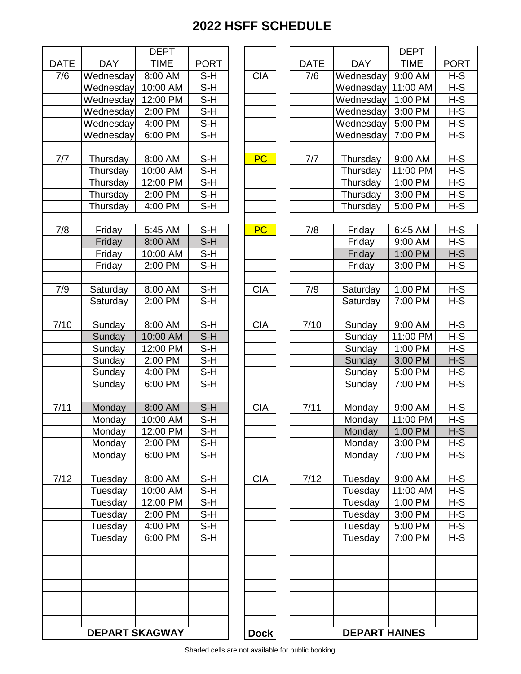|             |            | <b>DEPT</b>           |             |             |             |                      | <b>DEPT</b> |            |
|-------------|------------|-----------------------|-------------|-------------|-------------|----------------------|-------------|------------|
| <b>DATE</b> | <b>DAY</b> | <b>TIME</b>           | <b>PORT</b> |             | <b>DATE</b> | <b>DAY</b>           | <b>TIME</b> | <b>POR</b> |
| 7/6         | Wednesday  | 8:00 AM               | $S-H$       | <b>CIA</b>  | 7/6         | Wednesday            | 9:00 AM     | $H-S$      |
|             | Wednesday  | 10:00 AM              | $S-H$       |             |             | Wednesday 11:00 AM   |             | $H-S$      |
|             | Wednesday  | 12:00 PM              | $S-H$       |             |             | Wednesday            | 1:00 PM     | $H-S$      |
|             | Wednesday  | 2:00 PM               | $S-H$       |             |             | Wednesday            | 3:00 PM     | $H-S$      |
|             | Wednesday  | 4:00 PM               | $S-H$       |             |             | Wednesday 5:00 PM    |             | $H-S$      |
|             | Wednesday  | 6:00 PM               | $S-H$       |             |             | Wednesday            | 7:00 PM     | $H-S$      |
| 7/7         | Thursday   | 8:00 AM               | $S-H$       | PC          | 7/7         | Thursday             | 9:00 AM     | $H-S$      |
|             | Thursday   | 10:00 AM              | $S-H$       |             |             | Thursday             | 11:00 PM    | $H-S$      |
|             | Thursday   | 12:00 PM              | $S-H$       |             |             | Thursday             | 1:00 PM     | $H-S$      |
|             | Thursday   | 2:00 PM               | S-H         |             |             | Thursday             | 3:00 PM     | $H-S$      |
|             | Thursday   | 4:00 PM               | $S-H$       |             |             | Thursday             | 5:00 PM     | $H-S$      |
|             |            |                       |             |             |             |                      |             |            |
| 7/8         | Friday     | 5:45 AM               | $S-H$       | PC          | 7/8         | Friday               | 6:45 AM     | $H-S$      |
|             | Friday     | 8:00 AM               | $S-H$       |             |             | Friday               | 9:00 AM     | $H-S$      |
|             | Friday     | 10:00 AM              | $S-H$       |             |             | Friday               | 1:00 PM     | $H-S$      |
|             | Friday     | 2:00 PM               | $S-H$       |             |             | Friday               | 3:00 PM     | $H-S$      |
| 7/9         | Saturday   | 8:00 AM               | $S-H$       | <b>CIA</b>  | 7/9         | Saturday             | 1:00 PM     | $H-S$      |
|             | Saturday   | 2:00 PM               | $S-H$       |             |             | Saturday             | 7:00 PM     | $H-S$      |
|             |            |                       |             |             |             |                      |             |            |
| 7/10        | Sunday     | 8:00 AM               | $S-H$       | <b>CIA</b>  | 7/10        | Sunday               | 9:00 AM     | $H-S$      |
|             | Sunday     | 10:00 AM              | $S-H$       |             |             | Sunday               | 11:00 PM    | $H-S$      |
|             | Sunday     | 12:00 PM              | $S-H$       |             |             | Sunday               | 1:00 PM     | $H-S$      |
|             | Sunday     | 2:00 PM               | $S-H$       |             |             | Sunday               | 3:00 PM     | $H-S$      |
|             | Sunday     | 4:00 PM               | $S-H$       |             |             | Sunday               | 5:00 PM     | $H-S$      |
|             | Sunday     | 6:00 PM               | $S-H$       |             |             | Sunday               | 7:00 PM     | $H-S$      |
| 7/11        | Monday     | 8:00 AM               | $S-H$       | <b>CIA</b>  | 7/11        | Monday               | 9:00 AM     | $H-S$      |
|             | Monday     | 10:00 AM              | $S-H$       |             |             | Monday               | 11:00 PM    | $H-S$      |
|             | Monday     | 12:00 PM              | S-H         |             |             | Monday               | 1:00 PM     | $H-S$      |
|             | Monday     | 2:00 PM               | $S-H$       |             |             | Monday               | 3:00 PM     | $H-S$      |
|             | Monday     | 6:00 PM               | $S-H$       |             |             | Monday               | 7:00 PM     | $H-S$      |
|             |            |                       |             |             |             |                      |             |            |
| 7/12        | Tuesday    | 8:00 AM               | $S-H$       | <b>CIA</b>  | 7/12        | Tuesday              | 9:00 AM     | $H-S$      |
|             | Tuesday    | 10:00 AM              | S-H         |             |             | Tuesday              | 11:00 AM    | $H-S$      |
|             | Tuesday    | 12:00 PM              | $S-H$       |             |             | Tuesday              | 1:00 PM     | $H-S$      |
|             | Tuesday    | 2:00 PM               | $S-H$       |             |             | Tuesday              | 3:00 PM     | $H-S$      |
|             | Tuesday    | 4:00 PM               | $S-H$       |             |             | Tuesday              | 5:00 PM     | $H-S$      |
|             | Tuesday    | 6:00 PM               | $S-H$       |             |             | Tuesday              | 7:00 PM     | $H-S$      |
|             |            |                       |             |             |             |                      |             |            |
|             |            |                       |             |             |             |                      |             |            |
|             |            |                       |             |             |             |                      |             |            |
|             |            | <b>DEPART SKAGWAY</b> |             | <b>Dock</b> |             | <b>DEPART HAINES</b> |             |            |

| <b>DAY</b><br>Wednesday<br>Wednesday<br>Wednesday<br>Wednesday<br>Wednesday<br>Wednesday<br>Thursday<br>Thursday<br>Thursday<br>Thursday<br>Thursday<br>Friday<br>Friday<br>Friday<br>Friday<br>Saturday<br>Saturday<br>Sunday<br>Sunday<br>Sunday<br>Sunday | <b>TIME</b><br>9:00 AM<br>11:00 AM<br>1:00 PM<br>3:00 PM<br>5:00 PM<br>7:00 PM<br>9:00 AM<br>11:00 PM<br>1:00 PM<br>$3:00$ PM<br>5:00 PM<br>6:45 AM<br>9:00 AM<br>1:00 PM<br>3:00 PM<br>1:00 PM<br>7:00 PM<br>9:00 AM<br>11:00 PM<br>1:00 PM | <b>PORT</b><br>$H-S$<br>$H-S$<br>$H-S$<br>$H-S$<br>$H-S$<br>H-S<br>$H-S$<br>$H-S$<br>$H-S$<br>$H-S$<br>$H-S$<br>$H-S$<br>$H-S$<br>$H-S$<br>$H-S$<br>$H-S$<br>$H-S$<br>H-S<br>$H-S$ |
|--------------------------------------------------------------------------------------------------------------------------------------------------------------------------------------------------------------------------------------------------------------|----------------------------------------------------------------------------------------------------------------------------------------------------------------------------------------------------------------------------------------------|------------------------------------------------------------------------------------------------------------------------------------------------------------------------------------|
|                                                                                                                                                                                                                                                              |                                                                                                                                                                                                                                              |                                                                                                                                                                                    |
|                                                                                                                                                                                                                                                              |                                                                                                                                                                                                                                              |                                                                                                                                                                                    |
|                                                                                                                                                                                                                                                              |                                                                                                                                                                                                                                              |                                                                                                                                                                                    |
|                                                                                                                                                                                                                                                              |                                                                                                                                                                                                                                              |                                                                                                                                                                                    |
|                                                                                                                                                                                                                                                              |                                                                                                                                                                                                                                              |                                                                                                                                                                                    |
|                                                                                                                                                                                                                                                              |                                                                                                                                                                                                                                              |                                                                                                                                                                                    |
|                                                                                                                                                                                                                                                              |                                                                                                                                                                                                                                              |                                                                                                                                                                                    |
|                                                                                                                                                                                                                                                              |                                                                                                                                                                                                                                              |                                                                                                                                                                                    |
|                                                                                                                                                                                                                                                              |                                                                                                                                                                                                                                              |                                                                                                                                                                                    |
|                                                                                                                                                                                                                                                              |                                                                                                                                                                                                                                              |                                                                                                                                                                                    |
|                                                                                                                                                                                                                                                              |                                                                                                                                                                                                                                              |                                                                                                                                                                                    |
|                                                                                                                                                                                                                                                              |                                                                                                                                                                                                                                              |                                                                                                                                                                                    |
|                                                                                                                                                                                                                                                              |                                                                                                                                                                                                                                              |                                                                                                                                                                                    |
|                                                                                                                                                                                                                                                              |                                                                                                                                                                                                                                              |                                                                                                                                                                                    |
|                                                                                                                                                                                                                                                              |                                                                                                                                                                                                                                              |                                                                                                                                                                                    |
|                                                                                                                                                                                                                                                              |                                                                                                                                                                                                                                              |                                                                                                                                                                                    |
|                                                                                                                                                                                                                                                              |                                                                                                                                                                                                                                              |                                                                                                                                                                                    |
|                                                                                                                                                                                                                                                              |                                                                                                                                                                                                                                              |                                                                                                                                                                                    |
|                                                                                                                                                                                                                                                              |                                                                                                                                                                                                                                              |                                                                                                                                                                                    |
|                                                                                                                                                                                                                                                              |                                                                                                                                                                                                                                              |                                                                                                                                                                                    |
|                                                                                                                                                                                                                                                              |                                                                                                                                                                                                                                              |                                                                                                                                                                                    |
|                                                                                                                                                                                                                                                              |                                                                                                                                                                                                                                              | $H-S$                                                                                                                                                                              |
|                                                                                                                                                                                                                                                              | 3:00 PM                                                                                                                                                                                                                                      | $H-S$                                                                                                                                                                              |
| Sunday                                                                                                                                                                                                                                                       | 5:00 PM                                                                                                                                                                                                                                      | $H-S$                                                                                                                                                                              |
| Sunday                                                                                                                                                                                                                                                       | 7:00 PM                                                                                                                                                                                                                                      | $H-S$                                                                                                                                                                              |
| Monday                                                                                                                                                                                                                                                       | 9:00 AM                                                                                                                                                                                                                                      | $H-S$                                                                                                                                                                              |
| Monday                                                                                                                                                                                                                                                       | 11:00 PM                                                                                                                                                                                                                                     | $H-S$                                                                                                                                                                              |
| Monday                                                                                                                                                                                                                                                       | 1:00 PM                                                                                                                                                                                                                                      | H-S                                                                                                                                                                                |
| Monday                                                                                                                                                                                                                                                       | 3:00 PM                                                                                                                                                                                                                                      | $H-S$                                                                                                                                                                              |
| Monday                                                                                                                                                                                                                                                       | 7:00 PM                                                                                                                                                                                                                                      | $H-S$                                                                                                                                                                              |
| Tuesday                                                                                                                                                                                                                                                      | 9:00 AM                                                                                                                                                                                                                                      | $H-S$                                                                                                                                                                              |
| Tuesday                                                                                                                                                                                                                                                      | 11:00 AM                                                                                                                                                                                                                                     | $H-S$                                                                                                                                                                              |
| Tuesday                                                                                                                                                                                                                                                      | 1:00 PM                                                                                                                                                                                                                                      | $H-S$                                                                                                                                                                              |
|                                                                                                                                                                                                                                                              |                                                                                                                                                                                                                                              | $H-S$                                                                                                                                                                              |
|                                                                                                                                                                                                                                                              |                                                                                                                                                                                                                                              | $H-S$                                                                                                                                                                              |
|                                                                                                                                                                                                                                                              |                                                                                                                                                                                                                                              | H-S                                                                                                                                                                                |
|                                                                                                                                                                                                                                                              |                                                                                                                                                                                                                                              |                                                                                                                                                                                    |
|                                                                                                                                                                                                                                                              |                                                                                                                                                                                                                                              |                                                                                                                                                                                    |
|                                                                                                                                                                                                                                                              |                                                                                                                                                                                                                                              |                                                                                                                                                                                    |
|                                                                                                                                                                                                                                                              |                                                                                                                                                                                                                                              |                                                                                                                                                                                    |
|                                                                                                                                                                                                                                                              |                                                                                                                                                                                                                                              |                                                                                                                                                                                    |
|                                                                                                                                                                                                                                                              | Tuesday<br>Tuesday<br>Tuesday                                                                                                                                                                                                                | 3:00 PM<br>5:00 PM<br>7:00 PM                                                                                                                                                      |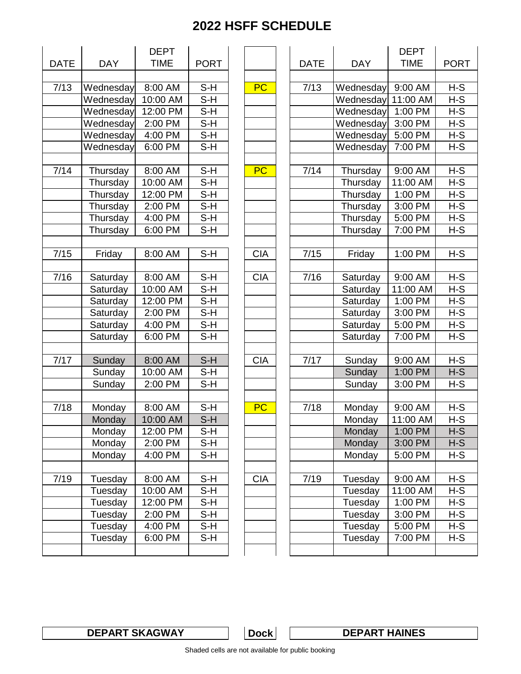|             |            | <b>DEPT</b> |                            |  |  |
|-------------|------------|-------------|----------------------------|--|--|
| <b>DATE</b> | <b>DAY</b> | <b>TIME</b> | <b>PORT</b>                |  |  |
|             |            |             |                            |  |  |
| 7/13        | Wednesday  | 8:00 AM     | S-H                        |  |  |
|             | Wednesday  | 10:00 AM    | $S-H$                      |  |  |
|             | Wednesday  | 12:00 PM    | $S-H$                      |  |  |
|             | Wednesday  | 2:00 PM     | $S-H$                      |  |  |
|             | Wednesday  | 4:00 PM     | S-H                        |  |  |
|             | Wednesday  | 6:00 PM     | S-H                        |  |  |
|             |            |             |                            |  |  |
| 7/14        | Thursday   | 8:00 AM     | S-H                        |  |  |
|             | Thursday   | 10:00 AM    | $S-H$                      |  |  |
|             | Thursday   | 12:00 PM    | S-H                        |  |  |
|             | Thursday   | 2:00 PM     | $S-H$                      |  |  |
|             | Thursday   | 4:00 PM     | S-H                        |  |  |
|             | Thursday   | 6:00 PM     | S-H                        |  |  |
|             |            |             |                            |  |  |
| 7/15        | Friday     | 8:00 AM     | S-H                        |  |  |
|             |            |             |                            |  |  |
| 7/16        | Saturday   | 8:00 AM     | S-H                        |  |  |
|             | Saturday   | 10:00 AM    | $S-H$                      |  |  |
|             | Saturday   | $12:00$ PM  | $S-\overline{H}$           |  |  |
|             | Saturday   | 2:00 PM     | $S-H$                      |  |  |
|             | Saturday   | 4:00 PM     | S-H                        |  |  |
|             | Saturday   | 6:00 PM     | $\overline{\mathsf{S-H}}$  |  |  |
|             |            |             |                            |  |  |
| 7/17        | Sunday     | 8:00 AM     | $S-H$                      |  |  |
|             | Sunday     | 10:00 AM    | $\overline{\mathsf{S}}$ -H |  |  |
|             | Sunday     | 2:00 PM     | S-H                        |  |  |
|             |            |             |                            |  |  |
| 7/18        | Monday     | 8:00 AM     | $S-H$                      |  |  |
|             | Monday     | 10:00 AM    | $\overline{\mathsf{S}}$ -H |  |  |
|             | Monday     | 12:00 PM    | S-H                        |  |  |
|             | Monday     | 2:00 PM     | $S-H$                      |  |  |
|             | Monday     | 4:00 PM     | $S-H$                      |  |  |
|             |            |             |                            |  |  |
| 7/19        | Tuesday    | 8:00 AM     | S-H                        |  |  |
|             | Tuesday    | 10:00 AM    | S-H                        |  |  |
|             | Tuesday    | 12:00 PM    | S-H                        |  |  |
|             | Tuesday    | 2:00 PM     | S-H                        |  |  |
|             | Tuesday    | 4:00 PM     | S-H                        |  |  |
|             | Tuesday    | 6:00 PM     | S-H                        |  |  |
|             |            |             |                            |  |  |

|            |            | <b>DEPT</b> |                                           |            |             |            | <b>DEPT</b> |             |
|------------|------------|-------------|-------------------------------------------|------------|-------------|------------|-------------|-------------|
| <b>ATE</b> | <b>DAY</b> | <b>TIME</b> | <b>PORT</b>                               |            | <b>DATE</b> | <b>DAY</b> | <b>TIME</b> | <b>PORT</b> |
|            |            |             |                                           |            |             |            |             |             |
| 7/13       | Wednesday  | 8:00 AM     | $S-H$                                     | <b>PC</b>  | 7/13        | Wednesday  | 9:00 AM     | $H-S$       |
|            | Wednesday  | 10:00 AM    | $S-H$                                     |            |             | Wednesday  | 11:00 AM    | $H-S$       |
|            | Wednesday  | 12:00 PM    | $S-H$                                     |            |             | Wednesday  | 1:00 PM     | $H-S$       |
|            | Wednesday  | 2:00 PM     | $S-H$                                     |            |             | Wednesday  | 3:00 PM     | $H-S$       |
|            | Wednesday  | 4:00 PM     | $\overline{\mathsf{S}\text{-}\mathsf{H}}$ |            |             | Wednesday  | 5:00 PM     | $H-S$       |
|            | Wednesday  | 6:00 PM     | $S-H$                                     |            |             | Wednesday  | 7:00 PM     | $H-S$       |
|            |            |             |                                           |            |             |            |             |             |
| 7/14       | Thursday   | 8:00 AM     | $S-H$                                     | <b>PC</b>  | 7/14        | Thursday   | 9:00 AM     | $H-S$       |
|            | Thursday   | 10:00 AM    | $S-H$                                     |            |             | Thursday   | 11:00 AM    | $H-S$       |
|            | Thursday   | 12:00 PM    | S-H                                       |            |             | Thursday   | 1:00 PM     | $H - S$     |
|            | Thursday   | 2:00 PM     | $S-H$                                     |            |             | Thursday   | 3:00 PM     | $H-S$       |
|            | Thursday   | 4:00 PM     | $S-H$                                     |            |             | Thursday   | 5:00 PM     | $H-S$       |
|            | Thursday   | 6:00 PM     | $S-H$                                     |            |             | Thursday   | 7:00 PM     | $H-S$       |
|            |            |             |                                           |            |             |            |             |             |
| 7/15       | Friday     | 8:00 AM     | $S-H$                                     | <b>CIA</b> | 7/15        | Friday     | 1:00 PM     | $H-S$       |
|            |            |             |                                           |            |             |            |             |             |
| 7/16       | Saturday   | 8:00 AM     | $S-H$                                     | <b>CIA</b> | 7/16        | Saturday   | 9:00 AM     | $H-S$       |
|            | Saturday   | 10:00 AM    | $S-H$                                     |            |             | Saturday   | 11:00 AM    | H-S         |
|            | Saturday   | 12:00 PM    | $S-H$                                     |            |             | Saturday   | 1:00 PM     | $H-S$       |
|            | Saturday   | 2:00 PM     | $S-H$                                     |            |             | Saturday   | 3:00 PM     | $H-S$       |
|            | Saturday   | 4:00 PM     | $S-H$                                     |            |             | Saturday   | 5:00 PM     | H-S         |
|            | Saturday   | 6:00 PM     | $S-H$                                     |            |             | Saturday   | 7:00 PM     | $H-S$       |
|            |            |             |                                           |            |             |            |             |             |
| 7/17       | Sunday     | 8:00 AM     | $S-H$                                     | <b>CIA</b> | 7/17        | Sunday     | 9:00 AM     | $H-S$       |
|            | Sunday     | 10:00 AM    | $S-H$                                     |            |             | Sunday     | 1:00 PM     | $H-S$       |
|            | Sunday     | 2:00 PM     | $S-H$                                     |            |             | Sunday     | 3:00 PM     | $H-S$       |
|            |            |             |                                           |            |             |            |             |             |
| 7/18       | Monday     | 8:00 AM     | $S-H$                                     | <b>PC</b>  | 7/18        | Monday     | 9:00 AM     | $H-S$       |
|            | Monday     | 10:00 AM    | $S-H$                                     |            |             | Monday     | 11:00 AM    | $H-S$       |
|            | Monday     | 12:00 PM    | S-H                                       |            |             | Monday     | 1:00 PM     | H-S         |
|            | Monday     | 2:00 PM     | S-H                                       |            |             | Monday     | 3:00 PM     | H-S         |
|            | Monday     | 4:00 PM     | $S-H$                                     |            |             | Monday     | 5:00 PM     | $H-S$       |
|            |            |             |                                           |            |             |            |             |             |
| 7/19       | Tuesday    | 8:00 AM     | S-H                                       | <b>CIA</b> | 7/19        | Tuesday    | 9:00 AM     | H-S         |
|            | Tuesday    | 10:00 AM    | S-H                                       |            |             | Tuesday    | 11:00 AM    | H-S         |
|            | Tuesday    | 12:00 PM    | S-H                                       |            |             | Tuesday    | 1:00 PM     | H-S         |
|            | Tuesday    | 2:00 PM     | S-H                                       |            |             | Tuesday    | 3:00 PM     | H-S         |
|            | Tuesday    | 4:00 PM     | S-H                                       |            |             | Tuesday    | 5:00 PM     | $H-S$       |
|            | Tuesday    | 6:00 PM     | S-H                                       |            |             | Tuesday    | 7:00 PM     | H-S         |
|            |            |             |                                           |            |             |            |             |             |
|            |            |             |                                           |            |             |            |             |             |

**DEPART SKAGWAY DEPART HAINES**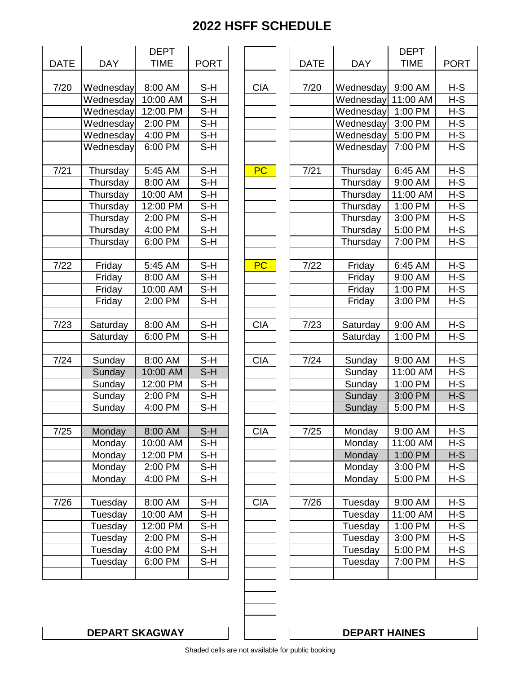|             |            | <b>DEPT</b><br><b>TIME</b> | <b>PORT</b>  |  |  |
|-------------|------------|----------------------------|--------------|--|--|
| <b>DATE</b> | <b>DAY</b> |                            |              |  |  |
|             |            |                            |              |  |  |
| 7/20        | Wednesday  | 8:00 AM                    | S-H          |  |  |
|             | Wednesday  | 10:00 AM                   | $S-H$        |  |  |
|             | Wednesday  | 12:00 PM                   | S-H          |  |  |
|             | Wednesday  | 2:00 PM                    | S-H          |  |  |
|             | Wednesday  | 4:00 PM                    | S-H          |  |  |
|             | Wednesday  | 6:00 PM                    | S-H          |  |  |
|             |            |                            |              |  |  |
| 7/21        | Thursday   | 5:45 AM                    | S-H          |  |  |
|             | Thursday   | 8:00 AM                    | S-H          |  |  |
|             | Thursday   | 10:00 AM                   | S-H          |  |  |
|             | Thursday   | 12:00 PM                   | S-H          |  |  |
|             | Thursday   | 2:00 PM                    | S-H          |  |  |
|             | Thursday   | 4:00 PM                    | S-H          |  |  |
|             | Thursday   | 6:00 PM                    | $S-H$        |  |  |
|             |            |                            |              |  |  |
| 7/22        | Friday     | 5:45 AM                    | S-H          |  |  |
|             | Friday     | 8:00 AM                    | S-H          |  |  |
|             | Friday     | 10:00 AM                   | S-H          |  |  |
|             | Friday     | 2:00 PM                    | S-H          |  |  |
|             |            |                            |              |  |  |
| 7/23        | Saturday   | 8:00 AM                    | S-H          |  |  |
|             | Saturday   | 6:00 PM                    | S-H          |  |  |
|             |            |                            |              |  |  |
| 7/24        | Sunday     | 8:00 AM                    | S-H<br>$S-H$ |  |  |
|             | Sunday     | 10:00 AM                   |              |  |  |
|             | Sunday     | 12:00 PM                   | S-H          |  |  |
|             | Sunday     | 2:00 PM                    | S-H          |  |  |
|             | Sunday     | 4:00 PM                    | S-H          |  |  |
| 7/25        | Monday     | 8:00 AM                    | S-H          |  |  |
|             | Monday     | 10:00 AM                   | $S-H$        |  |  |
|             | Monday     | 12:00 PM                   | S-H          |  |  |
|             | Monday     | 2:00 PM                    | S-H          |  |  |
|             | Monday     | 4:00 PM                    | S-H          |  |  |
|             |            |                            |              |  |  |
| 7/26        | Tuesday    | 8:00 AM                    | S-H          |  |  |
|             | Tuesday    | 10:00 AM                   | $S-H$        |  |  |
|             | Tuesday    | 12:00 PM                   | S-H          |  |  |
|             | Tuesday    | 2:00 PM                    | S-H          |  |  |
|             | Tuesday    | 4:00 PM                    | $S-H$        |  |  |
|             | Tuesday    | 6:00 PM                    | S-H          |  |  |
|             |            |                            |              |  |  |
|             |            |                            |              |  |  |

|                   |            | <b>DEPT</b> |             |            |             |            | <b>DEPT</b> |             |
|-------------------|------------|-------------|-------------|------------|-------------|------------|-------------|-------------|
| <b>ATE</b>        | <b>DAY</b> | <b>TIME</b> | <b>PORT</b> |            | <b>DATE</b> | <b>DAY</b> | <b>TIME</b> | <b>PORT</b> |
|                   |            |             |             |            |             |            |             |             |
| $\frac{1}{7}{20}$ | Wednesday  | 8:00 AM     | $S-H$       | <b>CIA</b> | 7/20        | Wednesday  | 9:00 AM     | $H-S$       |
|                   | Wednesday  | 10:00 AM    | $S-H$       |            |             | Wednesday  | 11:00 AM    | $H-S$       |
|                   | Wednesday  | 12:00 PM    | $S-H$       |            |             | Wednesday  | 1:00 PM     | $H-S$       |
|                   | Wednesday  | 2:00 PM     | $S-H$       |            |             | Wednesday  | 3:00 PM     | $H-S$       |
|                   | Wednesday  | 4:00 PM     | $S-H$       |            |             | Wednesday  | 5:00 PM     | $H-S$       |
|                   | Wednesday  | 6:00 PM     | $S-H$       |            |             | Wednesday  | 7:00 PM     | $H-S$       |
|                   |            |             |             |            |             |            |             |             |
| 7/21              | Thursday   | 5:45 AM     | $S-H$       | <b>PC</b>  | 7/21        | Thursday   | 6:45 AM     | $H-S$       |
|                   | Thursday   | 8:00 AM     | $S-H$       |            |             | Thursday   | 9:00 AM     | $H-S$       |
|                   | Thursday   | 10:00 AM    | $S-H$       |            |             | Thursday   | 11:00 AM    | $H-S$       |
|                   | Thursday   | 12:00 PM    | $S-H$       |            |             | Thursday   | 1:00 PM     | $H-S$       |
|                   | Thursday   | $2:00$ PM   | $S-H$       |            |             | Thursday   | 3:00 PM     | $H-S$       |
|                   | Thursday   | 4:00 PM     | $S-H$       |            |             | Thursday   | 5:00 PM     | $H-S$       |
|                   | Thursday   | 6:00 PM     | $S-H$       |            |             | Thursday   | 7:00 PM     | $H-S$       |
|                   |            |             |             |            |             |            |             |             |
| 7/22              | Friday     | 5:45 AM     | $S-H$       | <b>PC</b>  | 7/22        | Friday     | 6:45 AM     | $H-S$       |
|                   | Friday     | 8:00 AM     | $S-H$       |            |             | Friday     | 9:00 AM     | $H-S$       |
|                   | Friday     | 10:00 AM    | $S-H$       |            |             | Friday     | 1:00 PM     | $H-S$       |
|                   | Friday     | 2:00 PM     | $S-H$       |            |             | Friday     | 3:00 PM     | $H-S$       |
|                   |            |             |             |            |             |            |             |             |
| 7/23              | Saturday   | 8:00 AM     | $S-H$       | <b>CIA</b> | 7/23        | Saturday   | 9:00 AM     | H-S         |
|                   | Saturday   | 6:00 PM     | $S-H$       |            |             | Saturday   | 1:00 PM     | $H-S$       |
|                   |            |             |             |            |             |            |             |             |
| $\frac{1}{7}/24$  | Sunday     | 8:00 AM     | $S-H$       | <b>CIA</b> | 7/24        | Sunday     | 9:00 AM     | $H-S$       |
|                   | Sunday     | 10:00 AM    | $S-H$       |            |             | Sunday     | 11:00 AM    | $H-S$       |
|                   | Sunday     | 12:00 PM    | $S-H$       |            |             | Sunday     | 1:00 PM     | $H-S$       |
|                   | Sunday     | 2:00 PM     | $S-H$       |            |             | Sunday     | 3:00 PM     | $H-S$       |
|                   | Sunday     | 4:00 PM     | $S-H$       |            |             | Sunday     | 5:00 PM     | $H-S$       |
|                   |            |             |             |            |             |            |             |             |
| 7/25              | Monday     | 8:00 AM     | S-H         | <b>CIA</b> | 7/25        | Monday     | 9:00 AM     | H-S         |
|                   | Monday     | 10:00 AM    | $S-H$       |            |             | Monday     | 11:00 AM    | $H-S$       |
|                   | Monday     | 12:00 PM    | S-H         |            |             | Monday     | 1:00 PM     | H-S         |
|                   | Monday     | 2:00 PM     | $S-H$       |            |             | Monday     | 3:00 PM     | H-S         |
|                   | Monday     | 4:00 PM     | $S-H$       |            |             | Monday     | 5:00 PM     | $H-S$       |
|                   |            |             |             |            |             |            |             |             |
| 7/26              | Tuesday    | 8:00 AM     | S-H         | <b>CIA</b> | 7/26        | Tuesday    | 9:00 AM     | H-S         |
|                   | Tuesday    | 10:00 AM    | $S-H$       |            |             | Tuesday    | 11:00 AM    | $H-S$       |
|                   | Tuesday    | 12:00 PM    | $S-H$       |            |             | Tuesday    | 1:00 PM     | H-S         |
|                   | Tuesday    | 2:00 PM     | S-H         |            |             | Tuesday    | 3:00 PM     | H-S         |
|                   | Tuesday    | 4:00 PM     | $S-H$       |            |             | Tuesday    | 5:00 PM     | $H-S$       |
|                   | Tuesday    | 6:00 PM     | S-H         |            |             | Tuesday    | 7:00 PM     | $H-S$       |
|                   |            |             |             |            |             |            |             |             |
|                   |            |             |             |            |             |            |             |             |

**DEPART SKAGWAY DEPART HAINES**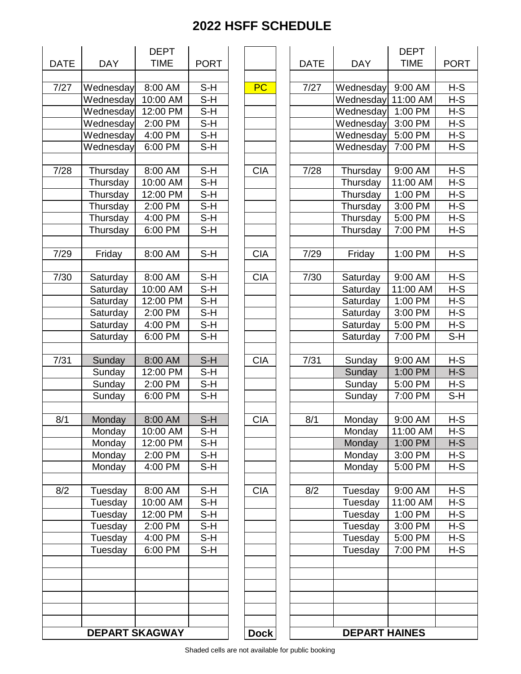|             |                       | <b>DEPT</b> |                            |
|-------------|-----------------------|-------------|----------------------------|
| <b>DATE</b> | <b>DAY</b>            | <b>TIME</b> | <b>PORT</b>                |
|             |                       |             |                            |
| 7/27        | Wednesday             | 8:00 AM     | $S-H$                      |
|             | Wednesday             | 10:00 AM    | $S-H$                      |
|             | Wednesday             | 12:00 PM    | $\overline{\mathsf{S}}$ -H |
|             | Wednesday             | 2:00 PM     | $S-H$                      |
|             | Wednesday             | 4:00 PM     | S-H                        |
|             | Wednesday             | 6:00 PM     | S-H                        |
| 7/28        | Thursday              | 8:00 AM     | S-H                        |
|             | Thursday              | 10:00 AM    | $S-H$                      |
|             | Thursday              | 12:00 PM    | S-H                        |
|             | Thursday              | 2:00 PM     | S-H                        |
|             | Thursday              | 4:00 PM     | $S-H$                      |
|             | Thursday              | 6:00 PM     | S-H                        |
|             |                       |             |                            |
| 7/29        | Friday                | 8:00 AM     | $S-H$                      |
| 7/30        | Saturday              | 8:00 AM     | S-H                        |
|             | Saturday              | 10:00 AM    | $S-H$                      |
|             | Saturday              | 12:00 PM    | $S-H$                      |
|             | Saturday              | 2:00 PM     | S-H                        |
|             |                       |             |                            |
|             | Saturday              | 4:00 PM     | S-H                        |
|             | Saturday              | 6:00 PM     | S-H                        |
| 7/31        | Sunday                | 8:00 AM     | $S-H$                      |
|             | Sunday                | 12:00 PM    | $S-H$                      |
|             | Sunday                | 2:00 PM     | S-H                        |
|             | Sunday                | 6:00 PM     | S-H                        |
|             |                       |             |                            |
| 8/1         | Monday                | 8:00 AM     | $\overline{\mathsf{S}}$ -H |
|             | Monday                | 10:00 AM    | S-H                        |
|             | Monday                | 12:00 PM    | S-H                        |
|             | Monday                | 2:00 PM     | $S-H$                      |
|             | Monday                | 4:00 PM     | S-H                        |
| 8/2         | Tuesday               | 8:00 AM     | S-H                        |
|             | Tuesday               | 10:00 AM    | $S-H$                      |
|             | Tuesday               | 12:00 PM    | S-H                        |
|             |                       | 2:00 PM     | S-H                        |
|             | Tuesday               |             |                            |
|             | Tuesday               | 4:00 PM     | S-H                        |
|             | Tuesday               | 6:00 PM     | $S-H$                      |
|             |                       |             |                            |
|             |                       |             |                            |
|             |                       |             |                            |
|             | <b>DEPART SKAGWAY</b> |             |                            |

| <b>ATE</b>        | <b>DAY</b>            | <b>DEPT</b><br><b>TIME</b> | <b>PORT</b> |             | <b>DATE</b> | <b>DAY</b>           | <b>DEPT</b><br><b>TIME</b> | <b>PORT</b> |
|-------------------|-----------------------|----------------------------|-------------|-------------|-------------|----------------------|----------------------------|-------------|
| 7/27              | Wednesday             | 8:00 AM                    | $S-H$       | <b>PC</b>   | 7/27        | Wednesday            | 9:00 AM                    | $H-S$       |
|                   | Wednesday             | 10:00 AM                   | $S-H$       |             |             | Wednesday            | 11:00 AM                   | $H-S$       |
|                   | Wednesday             | 12:00 PM                   | $S-H$       |             |             | Wednesday            | 1:00 PM                    | $H-S$       |
|                   | Wednesday             | 2:00 PM                    | $S-H$       |             |             | Wednesday            | 3:00 PM                    | $H-S$       |
|                   | Wednesday             | 4:00 PM                    | $S-H$       |             |             | Wednesday            | 5:00 PM                    | $H-S$       |
|                   | Wednesday             | 6:00 PM                    | $S-H$       |             |             | Wednesday            | 7:00 PM                    | $H-S$       |
|                   |                       |                            |             |             |             |                      |                            |             |
| 7/28              | Thursday              | 8:00 AM                    | $S-H$       | <b>CIA</b>  | 7/28        | Thursday             | 9:00 AM                    | $H-S$       |
|                   | Thursday              | 10:00 AM                   | $S-H$       |             |             | Thursday             | 11:00 AM                   | $H-S$       |
|                   | Thursday              | 12:00 PM                   | $S-H$       |             |             | Thursday             | 1:00 PM                    | $H-S$       |
|                   | Thursday              | 2:00 PM                    | S-H         |             |             | Thursday             | 3:00 PM                    | $H-S$       |
|                   | Thursday              | 4:00 PM                    | S-H         |             |             | Thursday             | 5:00 PM                    | $H-S$       |
|                   | Thursday              | 6:00 PM                    | $S-H$       |             |             | Thursday             | 7:00 PM                    | $H-S$       |
|                   |                       |                            |             |             |             |                      |                            |             |
| 7/29              | Friday                | 8:00 AM                    | $S-H$       | <b>CIA</b>  | 7/29        | Friday               | 1:00 PM                    | $H-S$       |
| 7/30              | Saturday              | 8:00 AM                    | $S-H$       | <b>CIA</b>  | 7/30        | Saturday             | 9:00 AM                    | $H-S$       |
|                   | Saturday              | 10:00 AM                   | $S-H$       |             |             | Saturday             | 11:00 AM                   | $H-S$       |
|                   | Saturday              | 12:00 PM                   | $S-H$       |             |             | Saturday             | 1:00 PM                    | H-S         |
|                   | Saturday              | 2:00 PM                    | $S-H$       |             |             | Saturday             | 3:00 PM                    | H-S         |
|                   | Saturday              | 4:00 PM                    | $S-H$       |             |             | Saturday             | 5:00 PM                    | $H-S$       |
|                   | Saturday              | 6:00 PM                    | $S-H$       |             |             | Saturday             | 7:00 PM                    | $S-H$       |
|                   |                       |                            |             |             |             |                      |                            |             |
| $\frac{1}{7}{31}$ | Sunday                | 8:00 AM                    | $S-H$       | <b>CIA</b>  | 7/31        | Sunday               | 9:00 AM                    | $H-S$       |
|                   | Sunday                | 12:00 PM                   | $S-H$       |             |             | Sunday               | 1:00 PM                    | $H-S$       |
|                   | Sunday                | 2:00 PM                    | $S-H$       |             |             | Sunday               | 5:00 PM                    | $H-S$       |
|                   | Sunday                | 6:00 PM                    | $S-H$       |             |             | Sunday               | 7:00 PM                    | $S-H$       |
|                   |                       |                            |             |             |             |                      |                            |             |
| 8/1               | Monday                | 8:00 AM                    | $S-H$       | <b>CIA</b>  | 8/1         | Monday               | 9:00 AM                    | $H-S$       |
|                   | Monday                | 10:00 AM                   | S-H         |             |             | Monday               | 11:00 AM                   | H-S         |
|                   | Monday                | 12:00 PM                   | $S-H$       |             |             | Monday               | 1:00 PM                    | $H-S$       |
|                   | Monday                | 2:00 PM                    | S-H         |             |             | Monday               | 3:00 PM                    | H-S         |
|                   | Monday                | 4:00 PM                    | $S-H$       |             |             | Monday               | 5:00 PM                    | H-S         |
|                   |                       |                            |             |             |             |                      |                            |             |
| 8/2               | Tuesday               | 8:00 AM                    | $S-H$       | <b>CIA</b>  | 8/2         | Tuesday              | 9:00 AM                    | $H-S$       |
|                   | Tuesday               | 10:00 AM                   | S-H         |             |             | Tuesday              | 11:00 AM                   | $H-S$       |
|                   | Tuesday               | 12:00 PM                   | $S-H$       |             |             | Tuesday              | 1:00 PM                    | $H-S$       |
|                   | Tuesday               | 2:00 PM                    | S-H         |             |             | Tuesday              | 3:00 PM                    | $H-S$       |
|                   | Tuesday               | 4:00 PM                    | S-H         |             |             | Tuesday              | 5:00 PM                    | H-S         |
|                   | Tuesday               | 6:00 PM                    | $S-H$       |             |             | Tuesday              | 7:00 PM                    | $H-S$       |
|                   |                       |                            |             |             |             |                      |                            |             |
|                   |                       |                            |             |             |             |                      |                            |             |
|                   |                       |                            |             |             |             |                      |                            |             |
|                   |                       |                            |             |             |             |                      |                            |             |
|                   |                       |                            |             |             |             |                      |                            |             |
|                   |                       |                            |             |             |             |                      |                            |             |
|                   | <b>DEPART SKAGWAY</b> |                            |             | <b>Dock</b> |             | <b>DEPART HAINES</b> |                            |             |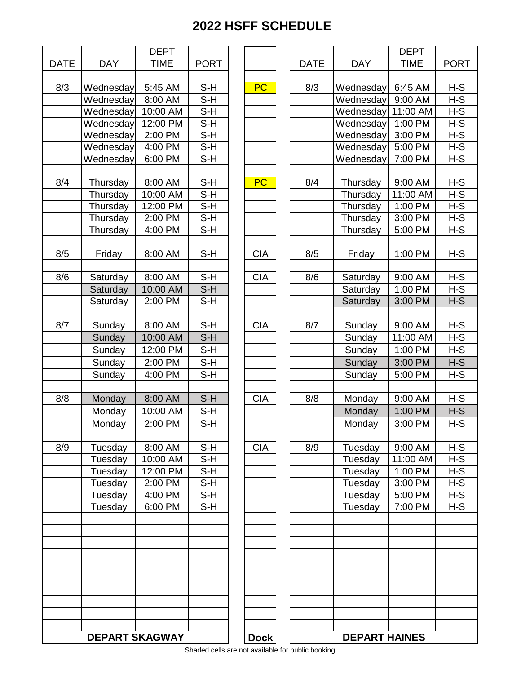| <b>DATE</b> | <b>DAY</b> | <b>DEPT</b><br><b>TIME</b><br><b>PORT</b> |                            |
|-------------|------------|-------------------------------------------|----------------------------|
| 8/3         | Wednesday  | 5:45 AM                                   | $S-H$                      |
|             | Wednesday  | 8:00 AM                                   | S-H                        |
|             | Wednesday  | 10:00 AM                                  | S-H                        |
|             | Wednesday  | 12:00 PM                                  | S-H                        |
|             | Wednesday  | 2:00 PM                                   | S-H                        |
|             | Wednesday  | 4:00 PM                                   | S-H                        |
|             |            | 6:00 PM                                   |                            |
|             | Wednesday  |                                           | S-H                        |
| 8/4         | Thursday   | 8:00 AM                                   | S-H                        |
|             | Thursday   | 10:00 AM                                  | S-H                        |
|             | Thursday   | 12:00 PM                                  | S-H                        |
|             | Thursday   | 2:00 PM                                   | $S-H$                      |
|             | Thursday   | 4:00 PM                                   | S-H                        |
| 8/5         | Friday     | 8:00 AM                                   | $S-H$                      |
|             |            |                                           |                            |
| 8/6         | Saturday   | 8:00 AM                                   | S-H                        |
|             | Saturday   | 10:00 AM                                  | $S-H$                      |
|             | Saturday   | 2:00 PM                                   | $\overline{\mathsf{S}}$ -H |
| 8/7         | Sunday     | 8:00 AM                                   | $S-H$                      |
|             | Sunday     | 10:00 AM                                  | S-H                        |
|             |            | 12:00 PM                                  |                            |
|             | Sunday     |                                           | S-H                        |
|             | Sunday     | 2:00 PM                                   | S-H                        |
|             | Sunday     | 4:00 PM                                   | S-H                        |
| 8/8         | Monday     | 8:00 AM                                   | $S-H$                      |
|             | Monday     | 10:00 AM                                  | S-H                        |
|             | Monday     | 2:00 PM                                   | S-H                        |
|             |            |                                           |                            |
| 8/9         | Tuesday    | 8:00 AM                                   | S-H                        |
|             | Tuesday    | 10:00 AM                                  | S-H                        |
|             | Tuesday    | 12:00 PM                                  | S-H                        |
|             | Tuesday    | 2:00 PM                                   | S-H                        |
|             | Tuesday    | 4:00 PM                                   | $S-H$                      |
|             | Tuesday    | 6:00 PM                                   | S-H                        |
|             |            |                                           |                            |
|             |            |                                           |                            |
|             |            |                                           |                            |
|             |            |                                           |                            |
|             |            |                                           |                            |
|             |            | <b>DEPART SKAGWAY</b>                     |                            |

| <b>ATE</b>       | <b>DAY</b>            | <b>DEPT</b><br><b>TIME</b> | <b>PORT</b>                |             | <b>DATE</b> | <b>DAY</b>           | <b>DEPT</b><br><b>TIME</b> | <b>PORT</b>    |
|------------------|-----------------------|----------------------------|----------------------------|-------------|-------------|----------------------|----------------------------|----------------|
|                  |                       |                            |                            |             |             |                      |                            |                |
| 8/3              | Wednesday             | 5:45 AM                    | S-H                        | <b>PC</b>   | 8/3         | Wednesday            | 6:45 AM                    | $H-S$          |
|                  | Wednesday             | 8:00 AM                    | $\overline{\mathsf{S}}$ -H |             |             | Wednesday            | 9:00 AM                    | $H-S$          |
|                  | Wednesday             | 10:00 AM                   | $S-H$                      |             |             | Wednesday            | 11:00 AM                   | $H-S$          |
|                  | Wednesday             | 12:00 PM                   | $S-H$                      |             |             | Wednesday            | 1:00 PM                    | $H-S$          |
|                  | Wednesday             | 2:00 PM                    | $S-H$                      |             |             | Wednesday            | 3:00 PM                    | $H-S$          |
|                  | Wednesday             | 4:00 PM                    | $S-H$                      |             |             | Wednesday            | 5:00 PM                    | $H-S$          |
|                  | Wednesday             | 6:00 PM                    | $S-H$                      |             |             | Wednesday            | 7:00 PM                    | $H-S$          |
| 8/4              | Thursday              | 8:00 AM                    | $S-H$                      | <b>PC</b>   | 8/4         | Thursday             | 9:00 AM                    | $H-S$          |
|                  | Thursday              | 10:00 AM                   | $S-H$                      |             |             | Thursday             | 11:00 AM                   | $H-S$          |
|                  | Thursday              | 12:00 PM                   | $S-H$                      |             |             | Thursday             | 1:00 PM                    | $H-S$          |
|                  | Thursday              | 2:00 PM                    | $S-H$                      |             |             | Thursday             | 3:00 PM                    | $H-S$          |
|                  | Thursday              | 4:00 PM                    | $S-H$                      |             |             | Thursday             | 5:00 PM                    | $H-S$          |
| 8/5              | Friday                | 8:00 AM                    | $S-H$                      | <b>CIA</b>  | 8/5         | Friday               | 1:00 PM                    | $H-S$          |
| $\overline{8/6}$ |                       |                            |                            |             |             |                      |                            |                |
|                  | Saturday              | 8:00 AM<br>10:00 AM        | $S-H$                      | <b>CIA</b>  | 8/6         | Saturday             | 9:00 AM                    | $H-S$<br>$H-S$ |
|                  | Saturday              |                            | $S-H$                      |             |             | Saturday             | 1:00 PM                    |                |
|                  | Saturday              | 2:00 PM                    | $S-H$                      |             |             | Saturday             | 3:00 PM                    | $H-S$          |
| 8/7              | Sunday                | 8:00 AM                    | $S-H$                      | <b>CIA</b>  | 8/7         | Sunday               | 9:00 AM                    | $H-S$          |
|                  | Sunday                | 10:00 AM                   | $S-H$                      |             |             | Sunday               | 11:00 AM                   | H-S            |
|                  | Sunday                | 12:00 PM                   | $S-H$                      |             |             | Sunday               | 1:00 PM                    | $H-S$          |
|                  | Sunday                | 2:00 PM                    | $S-H$                      |             |             | Sunday               | 3:00 PM                    | $H-S$          |
|                  | Sunday                | 4:00 PM                    | $S-H$                      |             |             | Sunday               | 5:00 PM                    | $H-S$          |
|                  |                       |                            |                            |             |             |                      |                            |                |
| 8/8              | Monday                | 8:00 AM                    | $S-H$                      | <b>CIA</b>  | 8/8         | Monday               | 9:00 AM                    | $H-S$          |
|                  | Monday                | 10:00 AM                   | $S-H$                      |             |             | Monday               | 1:00 PM                    | $H-S$          |
|                  | Monday                | 2:00 PM                    | $S-H$                      |             |             | Monday               | 3:00 PM                    | $H-S$          |
| 8/9              | Tuesday               | $8:00$ AM                  | $S-H$                      | <b>CIA</b>  | 8/9         | Tuesday              | $9:00$ AM                  | $H-S$          |
|                  | Tuesday               | 10:00 AM                   | $S-H$                      |             |             | Tuesday              | 11:00 AM                   | $H-S$          |
|                  | Tuesday               | 12:00 PM                   | $S-H$                      |             |             | Tuesday              | 1:00 PM                    | $H-S$          |
|                  | Tuesday               | 2:00 PM                    | $S-H$                      |             |             | Tuesday              | 3:00 PM                    | $H-S$          |
|                  | Tuesday               | 4:00 PM                    | $S-H$                      |             |             | Tuesday              | 5:00 PM                    | $H-S$          |
|                  | Tuesday               | 6:00 PM                    | $S-H$                      |             |             | Tuesday              | 7:00 PM                    | $H-S$          |
|                  |                       |                            |                            |             |             |                      |                            |                |
|                  |                       |                            |                            |             |             |                      |                            |                |
|                  |                       |                            |                            |             |             |                      |                            |                |
|                  |                       |                            |                            |             |             |                      |                            |                |
|                  |                       |                            |                            |             |             |                      |                            |                |
|                  |                       |                            |                            |             |             |                      |                            |                |
|                  |                       |                            |                            |             |             |                      |                            |                |
|                  |                       |                            |                            |             |             |                      |                            |                |
|                  | <b>DEPART SKAGWAY</b> |                            |                            | <b>Dock</b> |             | <b>DEPART HAINES</b> |                            |                |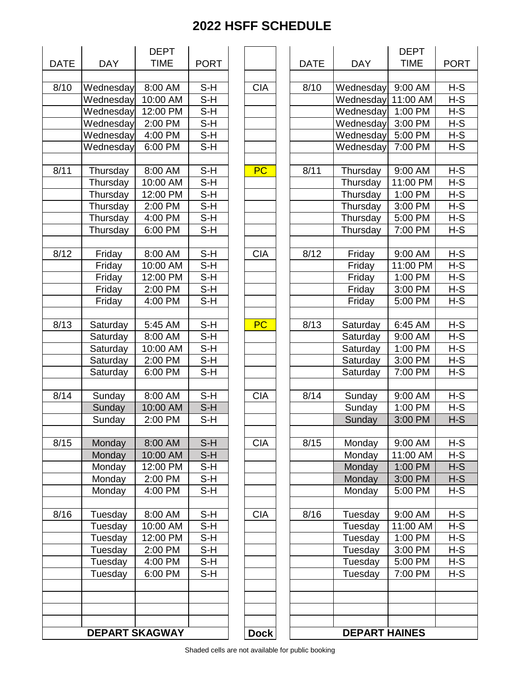| <b>DATE</b> | <b>DAY</b>            | <b>DEPT</b><br><b>TIME</b> |                            |  |
|-------------|-----------------------|----------------------------|----------------------------|--|
|             |                       |                            | <b>PORT</b>                |  |
| 8/10        | Wednesday             | 8:00 AM                    | S-H                        |  |
|             | Wednesday             | 10:00 AM                   | S-H                        |  |
|             | Wednesday             | 12:00 PM                   | $S-H$                      |  |
|             | Wednesday             | 2:00 PM                    | S-H                        |  |
|             | Wednesday             | 4:00 PM                    | S-H                        |  |
|             | Wednesday             | 6:00 PM                    | S-H                        |  |
|             |                       |                            |                            |  |
| 8/11        | Thursday              | 8:00 AM                    | S-H                        |  |
|             | Thursday              | 10:00 AM                   | S-H                        |  |
|             | Thursday              | 12:00 PM                   | $\overline{\mathsf{S}}$ -H |  |
|             | Thursday              | 2:00 PM                    | $S-H$                      |  |
|             | Thursday              | 4:00 PM                    | S-H                        |  |
|             | Thursday              | 6:00 PM                    | S-H                        |  |
|             |                       |                            |                            |  |
| 8/12        | Friday                | 8:00 AM                    | S-H                        |  |
|             | Friday                | 10:00 AM                   | $S-H$                      |  |
|             | Friday                | 12:00 PM                   | S-H                        |  |
|             | Friday                | 2:00 PM                    | $S-H$                      |  |
|             | Friday                | 4:00 PM                    | S-H                        |  |
|             |                       |                            |                            |  |
| 8/13        | Saturday              | 5:45 AM                    | S-H                        |  |
|             | Saturday              | 8:00 AM                    | S-H                        |  |
|             | Saturday              | 10:00 AM                   | $S-H$                      |  |
|             | Saturday              | 2:00 PM                    | S-H                        |  |
|             | Saturday              | 6:00 PM                    | S-H                        |  |
|             |                       |                            |                            |  |
| 8/14        | Sunday                | 8:00 AM                    | S-H                        |  |
|             | Sunday                | 10:00 AM                   | $S-H$                      |  |
|             | Sunday                | $2:00$ PM                  | S-H                        |  |
|             |                       |                            |                            |  |
| 8/15        | Monday                | 8:00 AM                    | S-H                        |  |
|             | Monday                | 10:00 AM                   | $S-H$                      |  |
|             | Monday                | 12:00 PM                   | S-H                        |  |
|             | Monday                | 2:00 PM                    | S-H                        |  |
|             | Monday                | 4:00 PM                    | S-H                        |  |
|             |                       |                            |                            |  |
| 8/16        | Tuesday               | 8:00 AM                    | S-H                        |  |
|             | Tuesday               | 10:00 AM                   | $\overline{\mathsf{S}}$ -H |  |
|             | Tuesday               | 12:00 PM                   | S-H                        |  |
|             | Tuesday               | 2:00 PM                    | S-H                        |  |
|             | Tuesday               | 4:00 PM                    | S-H                        |  |
|             | Tuesday               | 6:00 PM                    | S-H                        |  |
|             |                       |                            |                            |  |
|             |                       |                            |                            |  |
|             |                       |                            |                            |  |
|             | <b>DEPART SKAGWAY</b> |                            |                            |  |

| <b>DATE</b> | <b>DAY</b>            | <b>DEPT</b><br><b>TIME</b> | <b>PORT</b> |             | <b>DATE</b> | <b>DAY</b>           | <b>DEPT</b><br><b>TIME</b> | <b>PORT</b> |
|-------------|-----------------------|----------------------------|-------------|-------------|-------------|----------------------|----------------------------|-------------|
|             |                       |                            |             |             |             |                      |                            |             |
| 8/10        | Wednesday             | 8:00 AM                    | $S-H$       | <b>CIA</b>  | 8/10        | Wednesday            | 9:00 AM                    | $H-S$       |
|             | Wednesday             | 10:00 AM                   | $S-H$       |             |             | Wednesday            | 11:00 AM                   | $H-S$       |
|             | Wednesday             | 12:00 PM                   | $S-H$       |             |             | Wednesday            | 1:00 PM                    | $H-S$       |
|             | Wednesday             | 2:00 PM                    | $S-H$       |             |             | Wednesday            | 3:00 PM                    | H-S         |
|             | Wednesday             | 4:00 PM                    | $S-H$       |             |             | Wednesday            | 5:00 PM                    | $H-S$       |
|             | Wednesday             | 6:00 PM                    | $S-H$       |             |             | Wednesday            | 7:00 PM                    | $H-S$       |
|             |                       |                            |             |             |             |                      |                            |             |
| 8/11        | Thursday              | 8:00 AM                    | $S-H$       | <b>PC</b>   | 8/11        | Thursday             | 9:00 AM                    | $H-S$       |
|             | Thursday              | 10:00 AM                   | $S-H$       |             |             | Thursday             | 11:00 PM                   | $H-S$       |
|             | Thursday              | 12:00 PM                   | $S-H$       |             |             | Thursday             | 1:00 PM                    | $H-S$       |
|             | Thursday              | 2:00 PM                    | $S-H$       |             |             | Thursday             | 3:00 PM                    | H-S         |
|             | Thursday              | 4:00 PM                    | $S-H$       |             |             | Thursday             | 5:00 PM                    | $H-S$       |
|             | Thursday              | 6:00 PM                    | $S-H$       |             |             | Thursday             | 7:00 PM                    | $H-S$       |
| 8/12        | Friday                | 8:00 AM                    | $S-H$       | <b>CIA</b>  | 8/12        | Friday               | 9:00 AM                    | $H-S$       |
|             | Friday                | 10:00 AM                   | $S-H$       |             |             | Friday               | 11:00 PM                   | $H-S$       |
|             | Friday                | 12:00 PM                   | $S-H$       |             |             | Friday               | 1:00 PM                    | $H-S$       |
|             | Friday                | 2:00 PM                    | $S-H$       |             |             | Friday               | 3:00 PM                    | $H-S$       |
|             | Friday                | 4:00 PM                    | $S-H$       |             |             | Friday               | 5:00 PM                    | $H-S$       |
|             |                       |                            |             |             |             |                      |                            |             |
| 8/13        | Saturday              | 5:45 AM                    | $S-H$       | <b>PC</b>   | 8/13        | Saturday             | 6:45 AM                    | $H-S$       |
|             | Saturday              | 8:00 AM                    | $S-H$       |             |             | Saturday             | 9:00 AM                    | $H-S$       |
|             | Saturday              | 10:00 AM                   | $S-H$       |             |             | Saturday             | 1:00 PM                    | $H-S$       |
|             | Saturday              | 2:00 PM                    | $S-H$       |             |             | Saturday             | 3:00 PM                    | H-S         |
|             | Saturday              | 6:00 PM                    | $S-H$       |             |             | Saturday             | 7:00 PM                    | $H-S$       |
|             |                       |                            |             |             |             |                      |                            |             |
| 8/14        | Sunday                | 8:00 AM                    | $S-H$       | <b>CIA</b>  | 8/14        | Sunday               | 9:00 AM                    | $H-S$       |
|             | Sunday                | 10:00 AM                   | $S-H$       |             |             | Sunday               | 1:00 PM                    | $H-S$       |
|             | Sunday                | 2:00 PM                    | $S-H$       |             |             | Sunday               | 3:00 PM                    | $H-S$       |
|             |                       |                            |             |             |             |                      |                            |             |
| 8/15        | Monday                | 8:00 AM                    | $S-H$       | <b>CIA</b>  | 8/15        | Monday               | 9:00 AM                    | $H-S$       |
|             | Monday                | 10:00 AM                   | $S-H$       |             |             | Monday               | 11:00 AM                   | $H-S$       |
|             | Monday                | 12:00 PM                   | $S-H$       |             |             | Monday               | 1:00 PM                    | $H-S$       |
|             | Monday                | 2:00 PM                    | $S-H$       |             |             | Monday               | 3:00 PM                    | $H-S$       |
|             | Monday                | 4:00 PM                    | $S-H$       |             |             | Monday               | 5:00 PM                    | $H-S$       |
|             |                       |                            |             |             |             |                      |                            |             |
| 8/16        | Tuesday               | 8:00 AM                    | $S-H$       | <b>CIA</b>  | 8/16        | Tuesday              | 9:00 AM                    | $H-S$       |
|             | Tuesday               | 10:00 AM                   | S-H         |             |             | Tuesday              | 11:00 AM                   | $H-S$       |
|             | Tuesday               | 12:00 PM                   | $S-H$       |             |             | Tuesday              | 1:00 PM                    | H-S         |
|             | Tuesday               | 2:00 PM                    | $S-H$       |             |             | Tuesday              | 3:00 PM                    | $H-S$       |
|             | Tuesday               | 4:00 PM                    | $S-H$       |             |             | Tuesday              | 5:00 PM                    | $H-S$       |
|             | Tuesday               | 6:00 PM                    | $S-H$       |             |             | Tuesday              | 7:00 PM                    | $H-S$       |
|             |                       |                            |             |             |             |                      |                            |             |
|             |                       |                            |             |             |             |                      |                            |             |
|             |                       |                            |             |             |             |                      |                            |             |
|             |                       |                            |             |             |             |                      |                            |             |
|             | <b>DEPART SKAGWAY</b> |                            |             | <b>Dock</b> |             | <b>DEPART HAINES</b> |                            |             |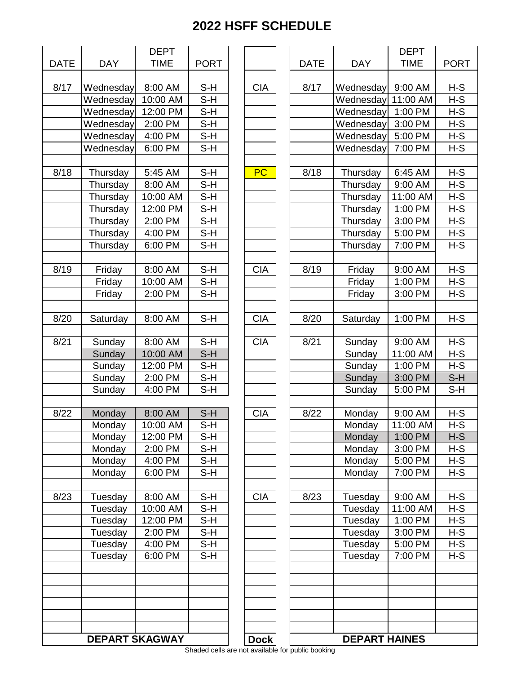|             |                       | <b>DEPT</b> |             |
|-------------|-----------------------|-------------|-------------|
| <b>DATE</b> | <b>DAY</b>            | <b>TIME</b> | <b>PORT</b> |
|             |                       |             |             |
| 8/17        | Wednesday             | 8:00 AM     | $S-H$       |
|             | Wednesday             | 10:00 AM    | S-H         |
|             | Wednesday             | 12:00 PM    | $S-H$       |
|             | Wednesday             | 2:00 PM     | S-H         |
|             | Wednesday             | 4:00 PM     | $S-H$       |
|             | Wednesday             | 6:00 PM     | $S-H$       |
| 8/18        | Thursday              | 5:45 AM     | $S-H$       |
|             | Thursday              | 8:00 AM     | S-H         |
|             | Thursday              | 10:00 AM    | S-H         |
|             | Thursday              | 12:00 PM    | $S-H$       |
|             | Thursday              | 2:00 PM     | $S-H$       |
|             | Thursday              | 4:00 PM     | $S-H$       |
|             | Thursday              | 6:00 PM     | $S-H$       |
|             |                       |             |             |
| 8/19        | Friday                | 8:00 AM     | S-H         |
|             | Friday                | 10:00 AM    | $S-H$       |
|             | Friday                | 2:00 PM     | S-H         |
| 8/20        | Saturday              | 8:00 AM     | $S-H$       |
|             |                       |             |             |
| 8/21        | Sunday                | 8:00 AM     | S-H         |
|             | Sunday                | 10:00 AM    | $S-H$       |
|             | Sunday                | 12:00 PM    | $S-H$       |
|             | Sunday                | 2:00 PM     | $S-H$       |
|             | Sunday                | 4:00 PM     | S-H         |
| 8/22        | Monday                | 8:00 AM     | $S-H$       |
|             | Monday                | 10:00 AM    | S-H         |
|             | Monday                | 12:00 PM    | S-H         |
|             | Monday                | 2:00 PM     | $S-H$       |
|             | Monday                | 4:00 PM     | S-H         |
|             |                       |             |             |
|             | Monday                | 6:00 PM     | S-H         |
| 8/23        | Tuesday               | 8:00 AM     | S-H         |
|             | Tuesday               | 10:00 AM    | $S-H$       |
|             | Tuesday               | 12:00 PM    | S-H         |
|             | Tuesday               | 2:00 PM     | S-H         |
|             | Tuesday               | 4:00 PM     | S-H         |
|             | Tuesday               | 6:00 PM     | $S-H$       |
|             |                       |             |             |
|             | <b>DEPART SKAGWAY</b> |             |             |

|            |                       | <b>DEPT</b> |             |             |             |                      | <b>DEPT</b> |             |
|------------|-----------------------|-------------|-------------|-------------|-------------|----------------------|-------------|-------------|
| <b>ATE</b> | <b>DAY</b>            | <b>TIME</b> | <b>PORT</b> |             | <b>DATE</b> | <b>DAY</b>           | <b>TIME</b> | <b>PORT</b> |
|            |                       |             |             |             |             |                      |             |             |
| 8/17       | Wednesday             | 8:00 AM     | $S-H$       | <b>CIA</b>  | 8/17        | Wednesday            | 9:00 AM     | $H-S$       |
|            | Wednesday             | 10:00 AM    | $S-H$       |             |             | Wednesday            | 11:00 AM    | $H-S$       |
|            | Wednesday             | 12:00 PM    | $S-H$       |             |             | Wednesday            | 1:00 PM     | $H-S$       |
|            | Wednesday             | 2:00 PM     | $S-H$       |             |             | Wednesday            | 3:00 PM     | $H-S$       |
|            | Wednesday             | 4:00 PM     | $S-H$       |             |             | Wednesday            | 5:00 PM     | $H-S$       |
|            | Wednesday             | 6:00 PM     | $S-H$       |             |             | Wednesday            | 7:00 PM     | $H-S$       |
|            |                       |             |             |             |             |                      |             |             |
| 8/18       | Thursday              | 5:45 AM     | $S-H$       | PC          | 8/18        | Thursday             | 6:45 AM     | $H-S$       |
|            | Thursday              | 8:00 AM     | $S-H$       |             |             | Thursday             | 9:00 AM     | $H-S$       |
|            | Thursday              | 10:00 AM    | S-H         |             |             | Thursday             | 11:00 AM    | $H-S$       |
|            | Thursday              | 12:00 PM    | $S-H$       |             |             | Thursday             | 1:00 PM     | $H-S$       |
|            | Thursday              | 2:00 PM     | $S-H$       |             |             | Thursday             | 3:00 PM     | $H-S$       |
|            | Thursday              | 4:00 PM     | $S-H$       |             |             | Thursday             | 5:00 PM     | $H-S$       |
|            | Thursday              | 6:00 PM     | $S-H$       |             |             | Thursday             | 7:00 PM     | $H-S$       |
|            |                       |             |             |             |             |                      |             |             |
| 8/19       |                       |             | $S-H$       |             |             | Friday               |             | $H-S$       |
|            | Friday                | 8:00 AM     |             | <b>CIA</b>  | 8/19        |                      | 9:00 AM     |             |
|            | Friday                | 10:00 AM    | $S-H$       |             |             | Friday               | 1:00 PM     | $H-S$       |
|            | Friday                | 2:00 PM     | S-H         |             |             | Friday               | 3:00 PM     | $H-S$       |
|            |                       |             |             |             |             |                      |             |             |
| 8/20       | Saturday              | 8:00 AM     | $S-H$       | <b>CIA</b>  | 8/20        | Saturday             | 1:00 PM     | $H-S$       |
|            |                       |             |             |             |             |                      |             |             |
| 8/21       | Sunday                | 8:00 AM     | $S-H$       | <b>CIA</b>  | 8/21        | Sunday               | 9:00 AM     | $H-S$       |
|            | Sunday                | 10:00 AM    | $S-H$       |             |             | Sunday               | 11:00 AM    | $H-S$       |
|            | Sunday                | 12:00 PM    | $S-H$       |             |             | Sunday               | 1:00 PM     | $H-S$       |
|            | Sunday                | 2:00 PM     | $S-H$       |             |             | Sunday               | 3:00 PM     | $S-H$       |
|            | Sunday                | 4:00 PM     | S-H         |             |             | Sunday               | 5:00 PM     | $S-H$       |
|            |                       |             |             |             |             |                      |             |             |
| 8/22       | Monday                | 8:00 AM     | $S-H$       | <b>CIA</b>  | 8/22        | Monday               | 9:00 AM     | $H-S$       |
|            | Monday                | 10:00 AM    | S-H         |             |             | Monday               | 11:00 AM    | $H-S$       |
|            | Monday                | 12:00 PM    | S-H         |             |             | Monday               | 1:00 PM     | $H-S$       |
|            | Monday                | 2:00 PM     | $S-H$       |             |             | Monday               | 3:00 PM     | $H-S$       |
|            | Monday                | 4:00 PM     | S-H         |             |             | Monday               | 5:00 PM     | $H-S$       |
|            | Monday                | 6:00 PM     | S-H         |             |             | Monday               | 7:00 PM     | $H-S$       |
|            |                       |             |             |             |             |                      |             |             |
| 8/23       | Tuesday               | 8:00 AM     | $S-H$       | <b>CIA</b>  | 8/23        | Tuesday              | 9:00 AM     | $H-S$       |
|            | Tuesday               | 10:00 AM    | $S-H$       |             |             | Tuesday              | 11:00 AM    | $H-S$       |
|            | Tuesday               | 12:00 PM    | $S-H$       |             |             | Tuesday              | 1:00 PM     | $H-S$       |
|            | Tuesday               | 2:00 PM     | $S-H$       |             |             | Tuesday              | 3:00 PM     | $H-S$       |
|            | Tuesday               | 4:00 PM     | $S-H$       |             |             | Tuesday              | 5:00 PM     | $H-S$       |
|            | Tuesday               | 6:00 PM     | $S-H$       |             |             | Tuesday              | 7:00 PM     | $H-S$       |
|            |                       |             |             |             |             |                      |             |             |
|            |                       |             |             |             |             |                      |             |             |
|            |                       |             |             |             |             |                      |             |             |
|            |                       |             |             |             |             |                      |             |             |
|            |                       |             |             |             |             |                      |             |             |
|            |                       |             |             |             |             |                      |             |             |
|            | <b>DEPART SKAGWAY</b> |             |             | <b>Dock</b> |             | <b>DEPART HAINES</b> |             |             |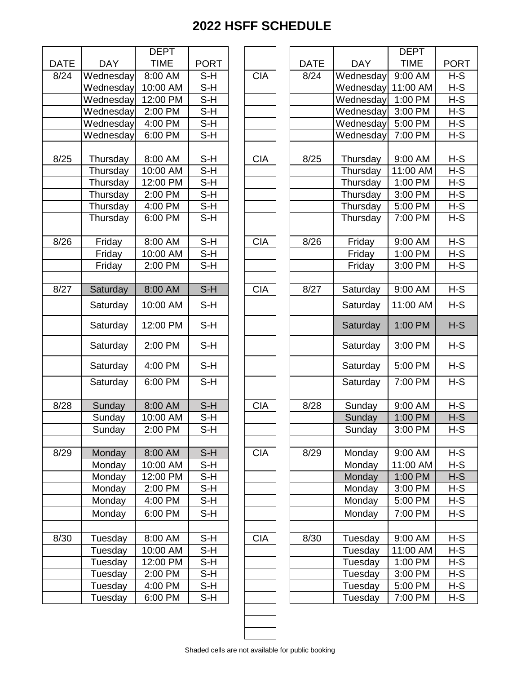|             |            | <b>DEPT</b> |       |
|-------------|------------|-------------|-------|
| <b>DATE</b> | <b>DAY</b> | <b>TIME</b> | PORT  |
| 8/24        | Wednesday  | 8:00 AM     | S-H   |
|             | Wednesday  | 10:00 AM    | S-H   |
|             | Wednesday  | 12:00 PM    | $S-H$ |
|             | Wednesday  | 2:00 PM     | S-H   |
|             | Wednesday  | 4:00 PM     | $S-H$ |
|             | Wednesday  | 6:00 PM     | S-H   |
|             |            |             |       |
| 8/25        | Thursday   | 8:00 AM     | S-H   |
|             | Thursday   | 10:00 AM    | S-H   |
|             | Thursday   | 12:00 PM    | S-H   |
|             | Thursday   | 2:00 PM     | S-H   |
|             | Thursday   | 4:00 PM     | $S-H$ |
|             | Thursday   | 6:00 PM     | S-H   |
|             |            |             |       |
| 8/26        | Friday     | 8:00 AM     | S-H   |
|             | Friday     | 10:00 AM    | $S-H$ |
|             | Friday     | 2:00 PM     | $S-H$ |
|             |            |             | $S-H$ |
| 8/27        | Saturday   | 8:00 AM     |       |
|             | Saturday   | 10:00 AM    | S-H   |
|             | Saturday   | 12:00 PM    | S-H   |
|             | Saturday   | 2:00 PM     | S-H   |
|             | Saturday   | 4:00 PM     | S-H   |
|             | Saturday   | 6:00 PM     | $S-H$ |
|             |            |             |       |
| 8/28        | Sunday     | 8:00 AM     | $S-H$ |
|             | Sunday     | 10:00 AM    | S-H   |
|             | Sunday     | 2:00 PM     | S-H   |
|             |            |             |       |
| 8/29        | Monday     | 8:00 AM     | $S-H$ |
|             | Monday     | 10:00 AM    | S-H   |
|             | Monday     | 12:00 PM    | $S-H$ |
|             | Monday     | 2:00 PM     | S-H   |
|             | Monday     | 4:00 PM     | S-H   |
|             | Monday     | 6:00 PM     | S-H   |
|             |            |             |       |
| 8/30        | Tuesday    | 8:00 AM     | $S-H$ |
|             | Tuesday    | 10:00 AM    | S-H   |
|             | Tuesday    | 12:00 PM    | S-H   |
|             | Tuesday    | 2:00 PM     | $S-H$ |
|             | Tuesday    | 4:00 PM     | S-H   |
|             | Tuesday    | 6:00 PM     | S-H   |

|             |                    | <b>DEPT</b>         |                |            |             |                    | <b>DEPT</b>         |                |
|-------------|--------------------|---------------------|----------------|------------|-------------|--------------------|---------------------|----------------|
| <b>DATE</b> | <b>DAY</b>         | <b>TIME</b>         | <b>PORT</b>    |            | <b>DATE</b> | <b>DAY</b>         | <b>TIME</b>         | <b>PORT</b>    |
| 8/24        | Wednesday          | 8:00 AM             | $S-H$          | <b>CIA</b> | 8/24        | Wednesday          | 9:00 AM             | $H-S$          |
|             | Wednesday          | 10:00 AM            | $S-H$          |            |             | Wednesday          | 11:00 AM            | $H-S$          |
|             | Wednesday          | 12:00 PM            | $S-H$          |            |             | Wednesday          | 1:00 PM             | $H-S$          |
|             | Wednesday          | 2:00 PM             | $S-H$          |            |             | Wednesday          | 3:00 PM             | $H-S$          |
|             | Wednesday          | 4:00 PM             | $S-H$          |            |             | Wednesday          | 5:00 PM             | $H-S$          |
|             | Wednesday          | 6:00 PM             | $S-H$          |            |             | Wednesday          | 7:00 PM             | $H-S$          |
|             |                    |                     |                |            |             |                    |                     |                |
| 8/25        | Thursday           | 8:00 AM             | $S-H$          | <b>CIA</b> | 8/25        | Thursday           | 9:00 AM             | $H-S$          |
|             | Thursday           | 10:00 AM            | $S-H$          |            |             | Thursday           | 11:00 AM            | $H-S$          |
|             | Thursday           | 12:00 PM            | $S-H$          |            |             | Thursday           | 1:00 PM             | $H-S$          |
|             | Thursday           | 2:00 PM             | $S-H$          |            |             | Thursday           | 3:00 PM             | $H-S$          |
|             | Thursday           | 4:00 PM             | $S-H$          |            |             | Thursday           | 5:00 PM             | $H-S$          |
|             | Thursday           | 6:00 PM             | $S-H$          |            |             | Thursday           | 7:00 PM             | $H-S$          |
|             |                    |                     |                |            |             |                    |                     |                |
| 8/26        | Friday             | 8:00 AM             | $S-H$          | <b>CIA</b> | 8/26        | Friday             | 9:00 AM             | $H-S$          |
|             | Friday             | 10:00 AM            | S-H            |            |             | Friday             | 1:00 PM             | $H-S$          |
|             | Friday             | 2:00 PM             | $S-H$          |            |             | Friday             | 3:00 PM             | $H-S$          |
|             |                    |                     |                |            |             |                    |                     |                |
| 8/27        | Saturday           | 8:00 AM             | $S-H$          | <b>CIA</b> | 8/27        | Saturday           | 9:00 AM             | $H-S$          |
|             | Saturday           | 10:00 AM            | $S-H$          |            |             | Saturday           | 11:00 AM            | $H-S$          |
|             | Saturday           | 12:00 PM            | $S-H$          |            |             | Saturday           | 1:00 PM             | $H-S$          |
|             | Saturday           | 2:00 PM             | S-H            |            |             | Saturday           | 3:00 PM             | $H-S$          |
|             | Saturday           | 4:00 PM             | S-H            |            |             | Saturday           | 5:00 PM             | $H-S$          |
|             | Saturday           | 6:00 PM             | $S-H$          |            |             | Saturday           | 7:00 PM             | $H-S$          |
|             |                    |                     |                |            |             |                    |                     |                |
| 8/28        | Sunday             | 8:00 AM             | $S-H$          | <b>CIA</b> | 8/28        | Sunday             | 9:00 AM             | $H-S$          |
|             | Sunday             | 10:00 AM            | $S-H$          |            |             | Sunday             | 1:00 PM             | $H-S$          |
|             | Sunday             | 2:00 PM             | $S-H$          |            |             | Sunday             | 3:00 PM             | $H-S$          |
| 8/29        |                    |                     |                |            |             |                    |                     |                |
|             | Monday<br>Monday   | 8:00 AM<br>10:00 AM | $S-H$<br>$S-H$ | <b>CIA</b> | 8/29        | Monday<br>Monday   | 9:00 AM<br>11:00 AM | $H-S$<br>$H-S$ |
|             | Monday             | 12:00 PM            | S-H            |            |             | Monday             | 1:00 PM             | H-S            |
|             | Monday             | 2:00 PM             | S-H            |            |             | Monday             | 3:00 PM             | H-S            |
|             | Monday             | 4:00 PM             | $S-H$          |            |             | Monday             | 5:00 PM             | $H-S$          |
|             | Monday             | 6:00 PM             | S-H            |            |             | Monday             | 7:00 PM             | $H-S$          |
|             |                    |                     |                |            |             |                    |                     |                |
| 8/30        |                    | 8:00 AM             | $S-H$          | <b>CIA</b> | 8/30        |                    | 9:00 AM             | $H-S$          |
|             | Tuesday<br>Tuesday | 10:00 AM            | $S-H$          |            |             | Tuesday<br>Tuesday | 11:00 AM            | $H-S$          |
|             | Tuesday            | 12:00 PM            | $S-H$          |            |             | Tuesday            | 1:00 PM             | $H-S$          |
|             | Tuesday            | 2:00 PM             | S-H            |            |             | Tuesday            | 3:00 PM             | $H-S$          |
|             | Tuesday            | 4:00 PM             | S-H            |            |             | Tuesday            | 5:00 PM             | H-S            |
|             | Tuesday            | 6:00 PM             | $S-H$          |            |             | Tuesday            | 7:00 PM             | $H-S$          |
|             |                    |                     |                |            |             |                    |                     |                |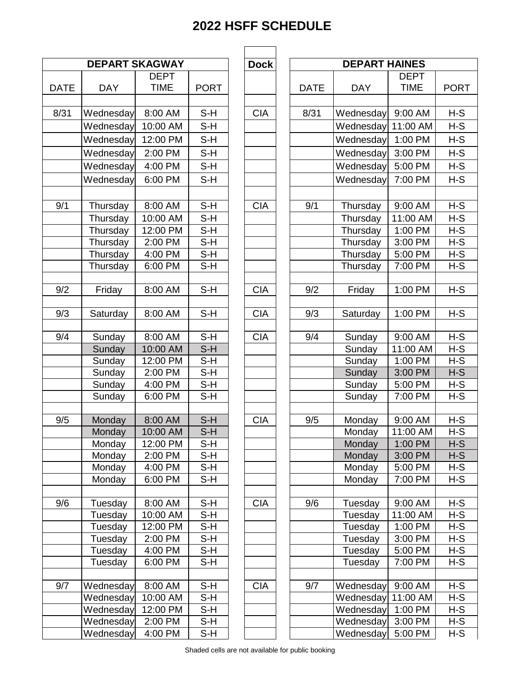| <b>DEPART SKAGWAY</b> |                      |                      |             |  |  |  |  |
|-----------------------|----------------------|----------------------|-------------|--|--|--|--|
|                       |                      | <b>DEPT</b>          |             |  |  |  |  |
| <b>DATE</b>           | <b>DAY</b>           | <b>TIME</b>          | <b>PORT</b> |  |  |  |  |
|                       |                      |                      |             |  |  |  |  |
| 8/31                  | Wednesday            | 8:00 AM              | S-H         |  |  |  |  |
|                       | Wednesday            | 10:00 AM             | S-H         |  |  |  |  |
|                       | Wednesday            | 12:00 PM             | $S-H$       |  |  |  |  |
|                       | Wednesday            | 2:00 PM              | $S-H$       |  |  |  |  |
|                       | Wednesday            | 4:00 PM              | $S-H$       |  |  |  |  |
|                       | Wednesday            | 6:00 PM              | S-H         |  |  |  |  |
|                       |                      |                      |             |  |  |  |  |
| 9/1                   | Thursday             | 8:00 AM              | $S-H$       |  |  |  |  |
|                       | Thursday             | 10:00 AM             | S-H         |  |  |  |  |
|                       |                      | 12:00 PM             | $S-H$       |  |  |  |  |
|                       | Thursday             | $2:00$ PM            | $S-H$       |  |  |  |  |
|                       | Thursday<br>Thursday | 4:00 PM              |             |  |  |  |  |
|                       |                      |                      | S-H<br>S-H  |  |  |  |  |
|                       | Thursday             | 6:00 PM              |             |  |  |  |  |
| 9/2                   | Friday               | 8:00 AM              | $S-H$       |  |  |  |  |
|                       |                      |                      |             |  |  |  |  |
| 9/3                   | Saturday             | 8:00 AM              | S-H         |  |  |  |  |
|                       |                      |                      |             |  |  |  |  |
| 9/4                   | Sunday               | 8:00 AM              | S-H         |  |  |  |  |
|                       | Sunday               | 10:00 AM             | $S-H$       |  |  |  |  |
|                       | Sunday               | 12:00 PM             | $S-H$       |  |  |  |  |
|                       | Sunday               | 2:00 PM              | $S-H$       |  |  |  |  |
|                       | Sunday               | 4:00 PM              | $S-H$       |  |  |  |  |
|                       | Sunday               | 6:00 PM              | S-H         |  |  |  |  |
|                       |                      |                      |             |  |  |  |  |
| 9/5                   | Monday               | 8:00 AM              | $S-H$       |  |  |  |  |
|                       | Monday               | 10:00 AM             | S-H         |  |  |  |  |
|                       | Monday               | 12:00 PM             | S-H         |  |  |  |  |
|                       | Monday               | 2:00 PM              | S-H         |  |  |  |  |
|                       | Monday               | 4:00 PM              | S-H         |  |  |  |  |
|                       | Monday               | 6:00 PM              | $S-H$       |  |  |  |  |
|                       |                      |                      |             |  |  |  |  |
| 9/6                   | Tuesday              | 8:00 AM              | S-H         |  |  |  |  |
|                       | Tuesday              | 10:00 AM             | $S-H$       |  |  |  |  |
|                       | Tuesday              | 12:00 PM             | S-H         |  |  |  |  |
|                       | Tuesday              | $2:00 P\overline{M}$ | $S-H$       |  |  |  |  |
|                       | Tuesday              | 4:00 PM              | S-H         |  |  |  |  |
|                       | Tuesday              | $6:00 P\overline{M}$ | S-H         |  |  |  |  |
|                       |                      |                      |             |  |  |  |  |
| 9/7                   | Wednesday            | 8:00 AM              | S-H         |  |  |  |  |
|                       | Wednesday            | 10:00 AM             | $S-H$       |  |  |  |  |
|                       | Wednesday            | 12:00 PM             | S-H         |  |  |  |  |
|                       | Wednesday            | 2:00 PM              | $S-H$       |  |  |  |  |
|                       | Wednesday            | 4:00 PM              | $S-H$       |  |  |  |  |

| <b>DEPT</b><br><b>DEPT</b><br><b>TIME</b><br><b>TIME</b><br><b>DAY</b><br><b>PORT</b><br><b>DATE</b><br><b>DAY</b><br><b>PORT</b><br>8/31<br>$S-H$<br><b>CIA</b><br>8/31<br>$H-S$<br>8:00 AM<br>9:00 AM<br>Wednesday<br>Wednesday<br>Wednesday<br>10:00 AM<br>S-H<br>Wednesday<br>H-S<br>11:00 AM<br>12:00 PM<br>S-H<br>Wednesday<br>1:00 PM<br>H-S<br>Wednesday<br>$S-H$<br>2:00 PM<br>Wednesday<br>3:00 PM<br>H-S<br>Wednesday<br>4:00 PM<br>S-H<br>Wednesday<br>5:00 PM<br>Wednesday<br>H-S<br>$S-H$<br>$H-S$<br>Wednesday<br>6:00 PM<br>Wednesday<br>7:00 PM<br>$S-H$<br><b>CIA</b><br>$H-S$<br>8:00 AM<br>9/1<br>9:00 AM<br>Thursday<br>Thursday<br>10:00 AM<br>S-H<br>H-S<br>Thursday<br>Thursday<br>11:00 AM<br>$S-H$<br>$H-S$<br>12:00 PM<br>1:00 PM<br>Thursday<br>Thursday<br>$S-H$<br>$H-S$<br>2:00 PM<br>Thursday<br>3:00 PM<br>Thursday<br>4:00 PM<br>S-H<br>H-S<br>Thursday<br>Thursday<br>5:00 PM<br>$S-H$<br>$H-S$<br>Thursday<br>6:00 PM<br>7:00 PM<br>Thursday<br>$S-H$<br>$H-S$<br>8:00 AM<br><b>CIA</b><br>9/2<br>1:00 PM<br>Friday<br>Friday<br><b>CIA</b><br>S-H<br>9/3<br>1:00 PM<br>$H-S$<br>Saturday<br>8:00 AM<br>Saturday<br>$S-H$<br><b>CIA</b><br>9/4<br>$H-S$<br>8:00 AM<br>9:00 AM<br>Sunday<br>Sunday<br>$S-H$<br>$H-S$<br>10:00 AM<br>11:00 AM<br>Sunday<br>Sunday<br>12:00 PM<br>S-H<br>1:00 PM<br>H-S<br>Sunday<br>Sunday<br>S-H<br>$H-S$<br>2:00 PM<br>Sunday<br>3:00 PM<br>Sunday<br>$S-H$<br>4:00 PM<br>5:00 PM<br>H-S<br>Sunday<br>Sunday<br>6:00 PM<br>S-H<br>7:00 PM<br>H-S<br>Sunday<br>Sunday<br>9/5<br>$S-H$<br>8:00 AM<br><b>CIA</b><br>$H-S$<br>9/5<br>9:00 AM<br>Monday<br>Monday<br>$S-H$<br>$H-S$<br>Monday<br>10:00 AM<br>Monday<br>11:00 AM<br>Monday<br>12:00 PM<br>S-H<br>Monday<br>1:00 PM<br>$H-S$<br>$S-H$<br>3:00 PM<br>2:00 PM<br>Monday<br>$H-S$<br>Monday<br>Monday<br>4:00 PM<br>Monday<br>5:00 PM<br>S-H<br>H-S<br>Monday<br>6:00 PM<br>$S-H$<br>Monday<br>7:00 PM<br>$H-S$<br><b>CIA</b><br>Tuesday<br>8:00 AM<br>S-H<br>9/6<br>9:00 AM<br>$H-S$<br>Tuesday<br>$S-H$<br>Tuesday<br>10:00 AM<br>Tuesday<br>11:00 AM<br>H-S<br>$S-H$<br>Tuesday<br>1:00 PM<br>H-S<br>12:00 PM<br>Tuesday<br>$S-H$<br>Tuesday<br>2:00 PM<br>Tuesday<br>3:00 PM<br>H-S<br>Tuesday<br>4:00 PM<br>Tuesday<br>5:00 PM<br>S-H<br>H-S<br>$S-H$<br>$H-S$<br>Tuesday<br>6:00 PM<br>Tuesday<br>7:00 PM<br>9/7<br>Wednesday<br><b>CIA</b><br>9/7<br>Wednesday<br>$H-S$<br>8:00 AM<br>S-H<br>9:00 AM<br>S-H<br>$H-S$<br>10:00 AM<br>11:00 AM<br>Wednesday<br>Wednesday<br>12:00 PM<br>S-H<br>Wednesday<br>Wednesday<br>1:00 PM<br>H-S<br>Wednesday<br>2:00 PM<br>S-H<br>Wednesday<br>3:00 PM<br>H-S<br>S-H<br>Wednesday<br>4:00 PM<br>Wednesday<br>$H-S$<br>5:00 PM |             | <b>DEPART SKAGWAY</b> |  | <b>Dock</b> | <b>DEPART HAINES</b> |  |  |
|------------------------------------------------------------------------------------------------------------------------------------------------------------------------------------------------------------------------------------------------------------------------------------------------------------------------------------------------------------------------------------------------------------------------------------------------------------------------------------------------------------------------------------------------------------------------------------------------------------------------------------------------------------------------------------------------------------------------------------------------------------------------------------------------------------------------------------------------------------------------------------------------------------------------------------------------------------------------------------------------------------------------------------------------------------------------------------------------------------------------------------------------------------------------------------------------------------------------------------------------------------------------------------------------------------------------------------------------------------------------------------------------------------------------------------------------------------------------------------------------------------------------------------------------------------------------------------------------------------------------------------------------------------------------------------------------------------------------------------------------------------------------------------------------------------------------------------------------------------------------------------------------------------------------------------------------------------------------------------------------------------------------------------------------------------------------------------------------------------------------------------------------------------------------------------------------------------------------------------------------------------------------------------------------------------------------------------------------------------------------------------------------------------------------------------------------------------------------------------------------------------------------------------------------------------------------------------------------------------------------------------------------------------------------------------------------------|-------------|-----------------------|--|-------------|----------------------|--|--|
|                                                                                                                                                                                                                                                                                                                                                                                                                                                                                                                                                                                                                                                                                                                                                                                                                                                                                                                                                                                                                                                                                                                                                                                                                                                                                                                                                                                                                                                                                                                                                                                                                                                                                                                                                                                                                                                                                                                                                                                                                                                                                                                                                                                                                                                                                                                                                                                                                                                                                                                                                                                                                                                                                                      |             |                       |  |             |                      |  |  |
|                                                                                                                                                                                                                                                                                                                                                                                                                                                                                                                                                                                                                                                                                                                                                                                                                                                                                                                                                                                                                                                                                                                                                                                                                                                                                                                                                                                                                                                                                                                                                                                                                                                                                                                                                                                                                                                                                                                                                                                                                                                                                                                                                                                                                                                                                                                                                                                                                                                                                                                                                                                                                                                                                                      | <b>DATE</b> |                       |  |             |                      |  |  |
|                                                                                                                                                                                                                                                                                                                                                                                                                                                                                                                                                                                                                                                                                                                                                                                                                                                                                                                                                                                                                                                                                                                                                                                                                                                                                                                                                                                                                                                                                                                                                                                                                                                                                                                                                                                                                                                                                                                                                                                                                                                                                                                                                                                                                                                                                                                                                                                                                                                                                                                                                                                                                                                                                                      |             |                       |  |             |                      |  |  |
|                                                                                                                                                                                                                                                                                                                                                                                                                                                                                                                                                                                                                                                                                                                                                                                                                                                                                                                                                                                                                                                                                                                                                                                                                                                                                                                                                                                                                                                                                                                                                                                                                                                                                                                                                                                                                                                                                                                                                                                                                                                                                                                                                                                                                                                                                                                                                                                                                                                                                                                                                                                                                                                                                                      |             |                       |  |             |                      |  |  |
|                                                                                                                                                                                                                                                                                                                                                                                                                                                                                                                                                                                                                                                                                                                                                                                                                                                                                                                                                                                                                                                                                                                                                                                                                                                                                                                                                                                                                                                                                                                                                                                                                                                                                                                                                                                                                                                                                                                                                                                                                                                                                                                                                                                                                                                                                                                                                                                                                                                                                                                                                                                                                                                                                                      |             |                       |  |             |                      |  |  |
|                                                                                                                                                                                                                                                                                                                                                                                                                                                                                                                                                                                                                                                                                                                                                                                                                                                                                                                                                                                                                                                                                                                                                                                                                                                                                                                                                                                                                                                                                                                                                                                                                                                                                                                                                                                                                                                                                                                                                                                                                                                                                                                                                                                                                                                                                                                                                                                                                                                                                                                                                                                                                                                                                                      |             |                       |  |             |                      |  |  |
|                                                                                                                                                                                                                                                                                                                                                                                                                                                                                                                                                                                                                                                                                                                                                                                                                                                                                                                                                                                                                                                                                                                                                                                                                                                                                                                                                                                                                                                                                                                                                                                                                                                                                                                                                                                                                                                                                                                                                                                                                                                                                                                                                                                                                                                                                                                                                                                                                                                                                                                                                                                                                                                                                                      |             |                       |  |             |                      |  |  |
|                                                                                                                                                                                                                                                                                                                                                                                                                                                                                                                                                                                                                                                                                                                                                                                                                                                                                                                                                                                                                                                                                                                                                                                                                                                                                                                                                                                                                                                                                                                                                                                                                                                                                                                                                                                                                                                                                                                                                                                                                                                                                                                                                                                                                                                                                                                                                                                                                                                                                                                                                                                                                                                                                                      |             |                       |  |             |                      |  |  |
|                                                                                                                                                                                                                                                                                                                                                                                                                                                                                                                                                                                                                                                                                                                                                                                                                                                                                                                                                                                                                                                                                                                                                                                                                                                                                                                                                                                                                                                                                                                                                                                                                                                                                                                                                                                                                                                                                                                                                                                                                                                                                                                                                                                                                                                                                                                                                                                                                                                                                                                                                                                                                                                                                                      |             |                       |  |             |                      |  |  |
|                                                                                                                                                                                                                                                                                                                                                                                                                                                                                                                                                                                                                                                                                                                                                                                                                                                                                                                                                                                                                                                                                                                                                                                                                                                                                                                                                                                                                                                                                                                                                                                                                                                                                                                                                                                                                                                                                                                                                                                                                                                                                                                                                                                                                                                                                                                                                                                                                                                                                                                                                                                                                                                                                                      |             |                       |  |             |                      |  |  |
|                                                                                                                                                                                                                                                                                                                                                                                                                                                                                                                                                                                                                                                                                                                                                                                                                                                                                                                                                                                                                                                                                                                                                                                                                                                                                                                                                                                                                                                                                                                                                                                                                                                                                                                                                                                                                                                                                                                                                                                                                                                                                                                                                                                                                                                                                                                                                                                                                                                                                                                                                                                                                                                                                                      | 9/1         |                       |  |             |                      |  |  |
|                                                                                                                                                                                                                                                                                                                                                                                                                                                                                                                                                                                                                                                                                                                                                                                                                                                                                                                                                                                                                                                                                                                                                                                                                                                                                                                                                                                                                                                                                                                                                                                                                                                                                                                                                                                                                                                                                                                                                                                                                                                                                                                                                                                                                                                                                                                                                                                                                                                                                                                                                                                                                                                                                                      |             |                       |  |             |                      |  |  |
|                                                                                                                                                                                                                                                                                                                                                                                                                                                                                                                                                                                                                                                                                                                                                                                                                                                                                                                                                                                                                                                                                                                                                                                                                                                                                                                                                                                                                                                                                                                                                                                                                                                                                                                                                                                                                                                                                                                                                                                                                                                                                                                                                                                                                                                                                                                                                                                                                                                                                                                                                                                                                                                                                                      |             |                       |  |             |                      |  |  |
|                                                                                                                                                                                                                                                                                                                                                                                                                                                                                                                                                                                                                                                                                                                                                                                                                                                                                                                                                                                                                                                                                                                                                                                                                                                                                                                                                                                                                                                                                                                                                                                                                                                                                                                                                                                                                                                                                                                                                                                                                                                                                                                                                                                                                                                                                                                                                                                                                                                                                                                                                                                                                                                                                                      |             |                       |  |             |                      |  |  |
|                                                                                                                                                                                                                                                                                                                                                                                                                                                                                                                                                                                                                                                                                                                                                                                                                                                                                                                                                                                                                                                                                                                                                                                                                                                                                                                                                                                                                                                                                                                                                                                                                                                                                                                                                                                                                                                                                                                                                                                                                                                                                                                                                                                                                                                                                                                                                                                                                                                                                                                                                                                                                                                                                                      |             |                       |  |             |                      |  |  |
|                                                                                                                                                                                                                                                                                                                                                                                                                                                                                                                                                                                                                                                                                                                                                                                                                                                                                                                                                                                                                                                                                                                                                                                                                                                                                                                                                                                                                                                                                                                                                                                                                                                                                                                                                                                                                                                                                                                                                                                                                                                                                                                                                                                                                                                                                                                                                                                                                                                                                                                                                                                                                                                                                                      |             |                       |  |             |                      |  |  |
|                                                                                                                                                                                                                                                                                                                                                                                                                                                                                                                                                                                                                                                                                                                                                                                                                                                                                                                                                                                                                                                                                                                                                                                                                                                                                                                                                                                                                                                                                                                                                                                                                                                                                                                                                                                                                                                                                                                                                                                                                                                                                                                                                                                                                                                                                                                                                                                                                                                                                                                                                                                                                                                                                                      | 9/2         |                       |  |             |                      |  |  |
|                                                                                                                                                                                                                                                                                                                                                                                                                                                                                                                                                                                                                                                                                                                                                                                                                                                                                                                                                                                                                                                                                                                                                                                                                                                                                                                                                                                                                                                                                                                                                                                                                                                                                                                                                                                                                                                                                                                                                                                                                                                                                                                                                                                                                                                                                                                                                                                                                                                                                                                                                                                                                                                                                                      |             |                       |  |             |                      |  |  |
|                                                                                                                                                                                                                                                                                                                                                                                                                                                                                                                                                                                                                                                                                                                                                                                                                                                                                                                                                                                                                                                                                                                                                                                                                                                                                                                                                                                                                                                                                                                                                                                                                                                                                                                                                                                                                                                                                                                                                                                                                                                                                                                                                                                                                                                                                                                                                                                                                                                                                                                                                                                                                                                                                                      | 9/3         |                       |  |             |                      |  |  |
|                                                                                                                                                                                                                                                                                                                                                                                                                                                                                                                                                                                                                                                                                                                                                                                                                                                                                                                                                                                                                                                                                                                                                                                                                                                                                                                                                                                                                                                                                                                                                                                                                                                                                                                                                                                                                                                                                                                                                                                                                                                                                                                                                                                                                                                                                                                                                                                                                                                                                                                                                                                                                                                                                                      | 9/4         |                       |  |             |                      |  |  |
|                                                                                                                                                                                                                                                                                                                                                                                                                                                                                                                                                                                                                                                                                                                                                                                                                                                                                                                                                                                                                                                                                                                                                                                                                                                                                                                                                                                                                                                                                                                                                                                                                                                                                                                                                                                                                                                                                                                                                                                                                                                                                                                                                                                                                                                                                                                                                                                                                                                                                                                                                                                                                                                                                                      |             |                       |  |             |                      |  |  |
|                                                                                                                                                                                                                                                                                                                                                                                                                                                                                                                                                                                                                                                                                                                                                                                                                                                                                                                                                                                                                                                                                                                                                                                                                                                                                                                                                                                                                                                                                                                                                                                                                                                                                                                                                                                                                                                                                                                                                                                                                                                                                                                                                                                                                                                                                                                                                                                                                                                                                                                                                                                                                                                                                                      |             |                       |  |             |                      |  |  |
|                                                                                                                                                                                                                                                                                                                                                                                                                                                                                                                                                                                                                                                                                                                                                                                                                                                                                                                                                                                                                                                                                                                                                                                                                                                                                                                                                                                                                                                                                                                                                                                                                                                                                                                                                                                                                                                                                                                                                                                                                                                                                                                                                                                                                                                                                                                                                                                                                                                                                                                                                                                                                                                                                                      |             |                       |  |             |                      |  |  |
|                                                                                                                                                                                                                                                                                                                                                                                                                                                                                                                                                                                                                                                                                                                                                                                                                                                                                                                                                                                                                                                                                                                                                                                                                                                                                                                                                                                                                                                                                                                                                                                                                                                                                                                                                                                                                                                                                                                                                                                                                                                                                                                                                                                                                                                                                                                                                                                                                                                                                                                                                                                                                                                                                                      |             |                       |  |             |                      |  |  |
|                                                                                                                                                                                                                                                                                                                                                                                                                                                                                                                                                                                                                                                                                                                                                                                                                                                                                                                                                                                                                                                                                                                                                                                                                                                                                                                                                                                                                                                                                                                                                                                                                                                                                                                                                                                                                                                                                                                                                                                                                                                                                                                                                                                                                                                                                                                                                                                                                                                                                                                                                                                                                                                                                                      |             |                       |  |             |                      |  |  |
|                                                                                                                                                                                                                                                                                                                                                                                                                                                                                                                                                                                                                                                                                                                                                                                                                                                                                                                                                                                                                                                                                                                                                                                                                                                                                                                                                                                                                                                                                                                                                                                                                                                                                                                                                                                                                                                                                                                                                                                                                                                                                                                                                                                                                                                                                                                                                                                                                                                                                                                                                                                                                                                                                                      |             |                       |  |             |                      |  |  |
|                                                                                                                                                                                                                                                                                                                                                                                                                                                                                                                                                                                                                                                                                                                                                                                                                                                                                                                                                                                                                                                                                                                                                                                                                                                                                                                                                                                                                                                                                                                                                                                                                                                                                                                                                                                                                                                                                                                                                                                                                                                                                                                                                                                                                                                                                                                                                                                                                                                                                                                                                                                                                                                                                                      |             |                       |  |             |                      |  |  |
|                                                                                                                                                                                                                                                                                                                                                                                                                                                                                                                                                                                                                                                                                                                                                                                                                                                                                                                                                                                                                                                                                                                                                                                                                                                                                                                                                                                                                                                                                                                                                                                                                                                                                                                                                                                                                                                                                                                                                                                                                                                                                                                                                                                                                                                                                                                                                                                                                                                                                                                                                                                                                                                                                                      |             |                       |  |             |                      |  |  |
|                                                                                                                                                                                                                                                                                                                                                                                                                                                                                                                                                                                                                                                                                                                                                                                                                                                                                                                                                                                                                                                                                                                                                                                                                                                                                                                                                                                                                                                                                                                                                                                                                                                                                                                                                                                                                                                                                                                                                                                                                                                                                                                                                                                                                                                                                                                                                                                                                                                                                                                                                                                                                                                                                                      |             |                       |  |             |                      |  |  |
|                                                                                                                                                                                                                                                                                                                                                                                                                                                                                                                                                                                                                                                                                                                                                                                                                                                                                                                                                                                                                                                                                                                                                                                                                                                                                                                                                                                                                                                                                                                                                                                                                                                                                                                                                                                                                                                                                                                                                                                                                                                                                                                                                                                                                                                                                                                                                                                                                                                                                                                                                                                                                                                                                                      |             |                       |  |             |                      |  |  |
|                                                                                                                                                                                                                                                                                                                                                                                                                                                                                                                                                                                                                                                                                                                                                                                                                                                                                                                                                                                                                                                                                                                                                                                                                                                                                                                                                                                                                                                                                                                                                                                                                                                                                                                                                                                                                                                                                                                                                                                                                                                                                                                                                                                                                                                                                                                                                                                                                                                                                                                                                                                                                                                                                                      |             |                       |  |             |                      |  |  |
|                                                                                                                                                                                                                                                                                                                                                                                                                                                                                                                                                                                                                                                                                                                                                                                                                                                                                                                                                                                                                                                                                                                                                                                                                                                                                                                                                                                                                                                                                                                                                                                                                                                                                                                                                                                                                                                                                                                                                                                                                                                                                                                                                                                                                                                                                                                                                                                                                                                                                                                                                                                                                                                                                                      |             |                       |  |             |                      |  |  |
|                                                                                                                                                                                                                                                                                                                                                                                                                                                                                                                                                                                                                                                                                                                                                                                                                                                                                                                                                                                                                                                                                                                                                                                                                                                                                                                                                                                                                                                                                                                                                                                                                                                                                                                                                                                                                                                                                                                                                                                                                                                                                                                                                                                                                                                                                                                                                                                                                                                                                                                                                                                                                                                                                                      | 9/6         |                       |  |             |                      |  |  |
|                                                                                                                                                                                                                                                                                                                                                                                                                                                                                                                                                                                                                                                                                                                                                                                                                                                                                                                                                                                                                                                                                                                                                                                                                                                                                                                                                                                                                                                                                                                                                                                                                                                                                                                                                                                                                                                                                                                                                                                                                                                                                                                                                                                                                                                                                                                                                                                                                                                                                                                                                                                                                                                                                                      |             |                       |  |             |                      |  |  |
|                                                                                                                                                                                                                                                                                                                                                                                                                                                                                                                                                                                                                                                                                                                                                                                                                                                                                                                                                                                                                                                                                                                                                                                                                                                                                                                                                                                                                                                                                                                                                                                                                                                                                                                                                                                                                                                                                                                                                                                                                                                                                                                                                                                                                                                                                                                                                                                                                                                                                                                                                                                                                                                                                                      |             |                       |  |             |                      |  |  |
|                                                                                                                                                                                                                                                                                                                                                                                                                                                                                                                                                                                                                                                                                                                                                                                                                                                                                                                                                                                                                                                                                                                                                                                                                                                                                                                                                                                                                                                                                                                                                                                                                                                                                                                                                                                                                                                                                                                                                                                                                                                                                                                                                                                                                                                                                                                                                                                                                                                                                                                                                                                                                                                                                                      |             |                       |  |             |                      |  |  |
|                                                                                                                                                                                                                                                                                                                                                                                                                                                                                                                                                                                                                                                                                                                                                                                                                                                                                                                                                                                                                                                                                                                                                                                                                                                                                                                                                                                                                                                                                                                                                                                                                                                                                                                                                                                                                                                                                                                                                                                                                                                                                                                                                                                                                                                                                                                                                                                                                                                                                                                                                                                                                                                                                                      |             |                       |  |             |                      |  |  |
|                                                                                                                                                                                                                                                                                                                                                                                                                                                                                                                                                                                                                                                                                                                                                                                                                                                                                                                                                                                                                                                                                                                                                                                                                                                                                                                                                                                                                                                                                                                                                                                                                                                                                                                                                                                                                                                                                                                                                                                                                                                                                                                                                                                                                                                                                                                                                                                                                                                                                                                                                                                                                                                                                                      |             |                       |  |             |                      |  |  |
|                                                                                                                                                                                                                                                                                                                                                                                                                                                                                                                                                                                                                                                                                                                                                                                                                                                                                                                                                                                                                                                                                                                                                                                                                                                                                                                                                                                                                                                                                                                                                                                                                                                                                                                                                                                                                                                                                                                                                                                                                                                                                                                                                                                                                                                                                                                                                                                                                                                                                                                                                                                                                                                                                                      |             |                       |  |             |                      |  |  |
|                                                                                                                                                                                                                                                                                                                                                                                                                                                                                                                                                                                                                                                                                                                                                                                                                                                                                                                                                                                                                                                                                                                                                                                                                                                                                                                                                                                                                                                                                                                                                                                                                                                                                                                                                                                                                                                                                                                                                                                                                                                                                                                                                                                                                                                                                                                                                                                                                                                                                                                                                                                                                                                                                                      |             |                       |  |             |                      |  |  |
|                                                                                                                                                                                                                                                                                                                                                                                                                                                                                                                                                                                                                                                                                                                                                                                                                                                                                                                                                                                                                                                                                                                                                                                                                                                                                                                                                                                                                                                                                                                                                                                                                                                                                                                                                                                                                                                                                                                                                                                                                                                                                                                                                                                                                                                                                                                                                                                                                                                                                                                                                                                                                                                                                                      |             |                       |  |             |                      |  |  |
|                                                                                                                                                                                                                                                                                                                                                                                                                                                                                                                                                                                                                                                                                                                                                                                                                                                                                                                                                                                                                                                                                                                                                                                                                                                                                                                                                                                                                                                                                                                                                                                                                                                                                                                                                                                                                                                                                                                                                                                                                                                                                                                                                                                                                                                                                                                                                                                                                                                                                                                                                                                                                                                                                                      |             |                       |  |             |                      |  |  |
|                                                                                                                                                                                                                                                                                                                                                                                                                                                                                                                                                                                                                                                                                                                                                                                                                                                                                                                                                                                                                                                                                                                                                                                                                                                                                                                                                                                                                                                                                                                                                                                                                                                                                                                                                                                                                                                                                                                                                                                                                                                                                                                                                                                                                                                                                                                                                                                                                                                                                                                                                                                                                                                                                                      |             |                       |  |             |                      |  |  |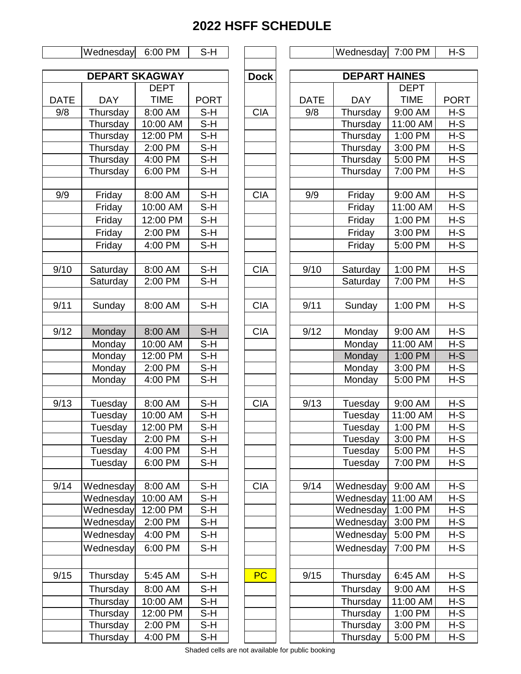#### Wednesday 6:00 PM S-H Wednesday 7:00 PM H-S

 $\mathbf{I}$ 

| <b>DEPART SKAGWAY</b> |            |             |             |  |  |  |  |  |
|-----------------------|------------|-------------|-------------|--|--|--|--|--|
|                       |            | <b>DEPT</b> |             |  |  |  |  |  |
| <b>DATE</b>           | <b>DAY</b> | <b>TIME</b> | <b>PORT</b> |  |  |  |  |  |
| 9/8                   | Thursday   | 8:00 AM     | S-H         |  |  |  |  |  |
|                       | Thursday   | 10:00 AM    | S-H         |  |  |  |  |  |
|                       | Thursday   | 12:00 PM    | S-H         |  |  |  |  |  |
|                       | Thursday   | 2:00 PM     | $S-H$       |  |  |  |  |  |
|                       | Thursday   | 4:00 PM     | S-H         |  |  |  |  |  |
|                       | Thursday   | 6:00 PM     | S-H         |  |  |  |  |  |
|                       |            |             |             |  |  |  |  |  |
| 9/9                   | Friday     | 8:00 AM     | $S-H$       |  |  |  |  |  |
|                       | Friday     | 10:00 AM    | S-H         |  |  |  |  |  |
|                       | Friday     | 12:00 PM    | S-H         |  |  |  |  |  |
|                       | Friday     | 2:00 PM     | S-H         |  |  |  |  |  |
|                       | Friday     | 4:00 PM     | S-H         |  |  |  |  |  |
|                       |            |             |             |  |  |  |  |  |
| 9/10                  | Saturday   | 8:00 AM     | $S-H$       |  |  |  |  |  |
|                       | Saturday   | 2:00 PM     | S-H         |  |  |  |  |  |
|                       |            |             |             |  |  |  |  |  |
| 9/11                  | Sunday     | 8:00 AM     | S-H         |  |  |  |  |  |
|                       |            |             |             |  |  |  |  |  |
| 9/12                  | Monday     | 8:00 AM     | $S-H$       |  |  |  |  |  |
|                       | Monday     | 10:00 AM    | S-H         |  |  |  |  |  |
|                       | Monday     | 12:00 PM    | S-H         |  |  |  |  |  |
|                       | Monday     | 2:00 PM     | S-H         |  |  |  |  |  |
|                       | Monday     | 4:00 PM     | S-H         |  |  |  |  |  |
|                       |            |             |             |  |  |  |  |  |
| 9/13                  | Tuesday    | 8:00 AM     | S-H         |  |  |  |  |  |
|                       | Tuesday    | 10:00 AM    | $S-H$       |  |  |  |  |  |
|                       | Tuesday    | 12:00 PM    | S-H         |  |  |  |  |  |
|                       | Tuesday    | 2:00 PM     | S-H         |  |  |  |  |  |
|                       | Tuesday    | 4:00 PM     | S-H         |  |  |  |  |  |
|                       | Tuesday    | 6:00 PM     | S-H         |  |  |  |  |  |
|                       |            |             |             |  |  |  |  |  |
| 9/14                  | Wednesday  | 8:00 AM     | S-H         |  |  |  |  |  |
|                       | Wednesday  | 10:00 AM    | S-H         |  |  |  |  |  |
|                       | Wednesday  | 12:00 PM    | S-H         |  |  |  |  |  |
|                       | Wednesday  | 2:00 PM     | S-H         |  |  |  |  |  |
|                       | Wednesday  | 4:00 PM     | S-H         |  |  |  |  |  |
|                       | Wednesday  | 6:00 PM     | S-H         |  |  |  |  |  |
|                       |            |             |             |  |  |  |  |  |
| 9/15                  | Thursday   | 5:45 AM     | S-H         |  |  |  |  |  |
|                       | Thursday   | 8:00 AM     | S-H         |  |  |  |  |  |
|                       | Thursday   | 10:00 AM    | S-H         |  |  |  |  |  |
|                       | Thursday   | 12:00 PM    | S-H         |  |  |  |  |  |
|                       | Thursday   | 2:00 PM     | S-H         |  |  |  |  |  |
|                       | Thursday   | 4:00 PM     | $S-H$       |  |  |  |  |  |
|                       |            |             |             |  |  |  |  |  |

|            | <b>DEPART SKAGWAY</b><br><b>DEPT</b> |                              |             | <b>Dock</b> |             | <b>DEPART HAINES</b> |             |             |  |
|------------|--------------------------------------|------------------------------|-------------|-------------|-------------|----------------------|-------------|-------------|--|
|            |                                      |                              |             |             | <b>DEPT</b> |                      |             |             |  |
| <b>ATE</b> | <b>DAY</b>                           | <b>TIME</b>                  | <b>PORT</b> |             | <b>DATE</b> | <b>DAY</b>           | <b>TIME</b> | <b>PORT</b> |  |
| 9/8        | Thursday                             | 8:00 AM                      | $S-H$       | <b>CIA</b>  | 9/8         | Thursday             | 9:00 AM     | $H-S$       |  |
|            | Thursday                             | 10:00 AM                     | $S-H$       |             |             | Thursday             | 11:00 AM    | $H-S$       |  |
|            | Thursday                             | 12:00 PM                     | $S-H$       |             |             | Thursday             | 1:00 PM     | $H-S$       |  |
|            | Thursday                             | 2:00 PM                      | $S-H$       |             |             | Thursday             | 3:00 PM     | $H-S$       |  |
|            | Thursday                             | $\overline{4:}00 \text{ PM}$ | $S-H$       |             |             | Thursday             | 5:00 PM     | $H-S$       |  |
|            |                                      | 6:00 PM                      | $S-H$       |             |             | Thursday             | 7:00 PM     | $H-S$       |  |
|            | Thursday                             |                              |             |             |             |                      |             |             |  |
| 9/9        |                                      | 8:00 AM                      | $S-H$       | <b>CIA</b>  | 9/9         |                      | 9:00 AM     | $H-S$       |  |
|            | Friday                               |                              |             |             |             | Friday               |             | $H-S$       |  |
|            | Friday                               | 10:00 AM                     | $S-H$       |             |             | Friday               | 11:00 AM    |             |  |
|            | Friday                               | 12:00 PM                     | $S-H$       |             |             | Friday               | 1:00 PM     | $H-S$       |  |
|            | Friday                               | 2:00 PM                      | $S-H$       |             |             | Friday               | 3:00 PM     | $H-S$       |  |
|            | Friday                               | 4:00 PM                      | $S-H$       |             |             | Friday               | 5:00 PM     | $H-S$       |  |
|            |                                      |                              |             |             |             |                      |             |             |  |
| 9/10       | Saturday                             | 8:00 AM                      | $S-H$       | <b>CIA</b>  | 9/10        | Saturday             | 1:00 PM     | $H-S$       |  |
|            | Saturday                             | 2:00 PM                      | $S-H$       |             |             | Saturday             | 7:00 PM     | $H-S$       |  |
|            |                                      |                              |             |             |             |                      |             |             |  |
| 9/11       | Sunday                               | 8:00 AM                      | $S-H$       | <b>CIA</b>  | 9/11        | Sunday               | 1:00 PM     | $H-S$       |  |
|            |                                      |                              |             |             |             |                      |             |             |  |
| 9/12       | Monday                               | 8:00 AM                      | $S-H$       | <b>CIA</b>  | 9/12        | Monday               | 9:00 AM     | $H-S$       |  |
|            | Monday                               | 10:00 AM                     | $S-H$       |             |             | Monday               | 11:00 AM    | $H-S$       |  |
|            | Monday                               | 12:00 PM                     | $S-H$       |             |             | Monday               | 1:00 PM     | $H-S$       |  |
|            | Monday                               | 2:00 PM                      | $S-H$       |             |             | Monday               | 3:00 PM     | $H-S$       |  |
|            | Monday                               | 4:00 PM                      | $S-H$       |             |             | Monday               | 5:00 PM     | $H-S$       |  |
|            |                                      |                              |             |             |             |                      |             |             |  |
| 9/13       | Tuesday                              | 8:00 AM                      | $S-H$       | <b>CIA</b>  | 9/13        | Tuesday              | 9:00 AM     | $H-S$       |  |
|            | Tuesday                              | 10:00 AM                     | $S-H$       |             |             | Tuesday              | 11:00 AM    | $H-S$       |  |
|            | Tuesday                              | 12:00 PM                     | $S-H$       |             |             | Tuesday              | 1:00 PM     | $H-S$       |  |
|            | Tuesday                              | 2:00 PM                      | S-H         |             |             | Tuesday              | 3:00 PM     | $H-S$       |  |
|            | Tuesday                              | 4:00 PM                      | S-H         |             |             | Tuesday              | 5:00 PM     | $H-S$       |  |
|            | Tuesday                              | 6:00 PM                      | S-H         |             |             | Tuesday              | 7:00 PM     | $H-S$       |  |
|            |                                      |                              |             |             |             |                      |             |             |  |
| 9/14       | Wednesday                            | 8:00 AM                      | $S-H$       | <b>CIA</b>  | 9/14        | Wednesday 9:00 AM    |             | $H-S$       |  |
|            | Wednesday                            | 10:00 AM                     | $S-H$       |             |             | Wednesday 11:00 AM   |             | $H-S$       |  |
|            | Wednesday                            | 12:00 PM                     | S-H         |             |             | Wednesday            | 1:00 PM     | $H-S$       |  |
|            | Wednesday                            | 2:00 PM                      | $S-H$       |             |             | Wednesday            | 3:00 PM     | $H-S$       |  |
|            | Wednesday                            | 4:00 PM                      | S-H         |             |             | Wednesday            | 5:00 PM     | $H-S$       |  |
|            | Wednesday                            | 6:00 PM                      |             |             |             | Wednesday            | 7:00 PM     | $H-S$       |  |
|            |                                      |                              | S-H         |             |             |                      |             |             |  |
|            |                                      |                              |             |             |             |                      |             |             |  |
| 9/15       | Thursday                             | 5:45 AM                      | S-H         | <b>PC</b>   | 9/15        | Thursday             | 6:45 AM     | $H-S$       |  |
|            | Thursday                             | 8:00 AM                      | S-H         |             |             | Thursday             | 9:00 AM     | $H-S$       |  |
|            | Thursday                             | 10:00 AM                     | S-H         |             |             | Thursday             | 11:00 AM    | $H-S$       |  |
|            | Thursday                             | 12:00 PM                     | S-H         |             |             | Thursday             | 1:00 PM     | $H-S$       |  |
|            | Thursday                             | 2:00 PM                      | S-H         |             |             | Thursday             | 3:00 PM     | $H-S$       |  |
|            | Thursday                             | 4:00 PM                      | S-H         |             |             | Thursday             | 5:00 PM     | $H-S$       |  |